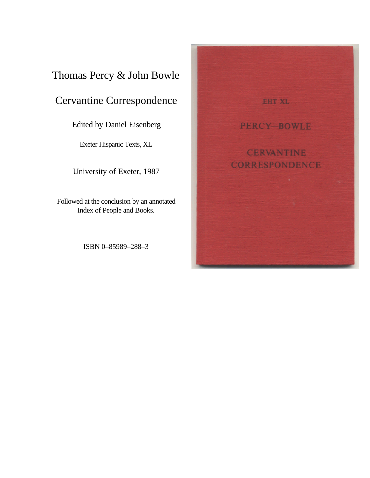# Thomas Percy & John Bowle

# Cervantine Correspondence

Edited by Daniel Eisenberg

Exeter Hispanic Texts, XL

University of Exeter, 1987

Followed at the conclusion by an annotated Index of People and Books.

ISBN 0–85989–288–3

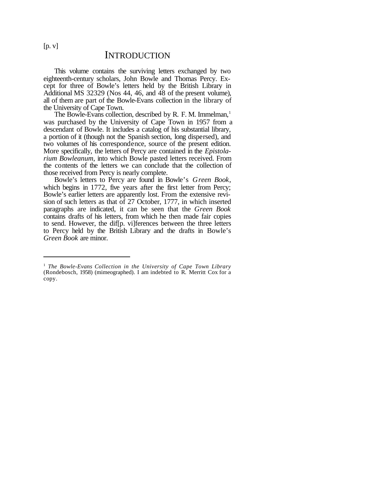[p. v]

# **INTRODUCTION**

This volume contains the surviving letters exchanged by two eighteenth-century scholars, John Bowle and Thomas Percy. Except for three of Bowle's letters held by the British Library in Additional MS 32329 (Nos 44, 46, and 48 of the present volume), all of them are part of the Bowle-Evans collection in the library of the University of Cape Town.

The Bowle-Evans collection, described by R. F. M. Immelman,<sup>1</sup> was purchased by the University of Cape Town in 1957 from a descendant of Bowle. It includes a catalog of his substantial library, a portion of it (though not the Spanish section, long dispersed), and two volumes of his correspondence, source of the present edition. More specifically, the letters of Percy are contained in the *Epistolarium Bowleanum*, into which Bowle pasted letters received. From the contents of the letters we can conclude that the collection of those received from Percy is nearly complete.

Bowle's letters to Percy are found in Bowle's *Green Book*, which begins in 1772, five years after the first letter from Percy; Bowle's earlier letters are apparently lost. From the extensive revision of such letters as that of 27 October, 1777, in which inserted paragraphs are indicated, it can be seen that the *Green Book* contains drafts of his letters, from which he then made fair copies to send. However, the dif[p. vi]ferences between the three letters to Percy held by the British Library and the drafts in Bowle's *Green Book* are minor.

<sup>1</sup> *The Bowle-Evans Collection in the University of Cape Town Library* (Rondebosch, 1958) (mimeographed). I am indebted to R. Merritt Cox for a copy.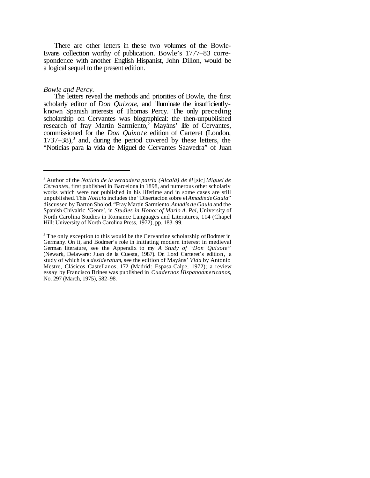There are other letters in these two volumes of the Bowle-Evans collection worthy of publication. Bowle's 1777–83 correspondence with another English Hispanist, John Dillon, would be a logical sequel to the present edition.

#### *Bowle and Percy.*

The letters reveal the methods and priorities of Bowle, the first scholarly editor of *Don Quixote*, and illuminate the insufficientlyknown Spanish interests of Thomas Percy. The only preceding scholarship on Cervantes was biographical: the then-unpublished research of fray Martín Sarmiento,<sup>2</sup> Mayáns' life of Cervantes, commissioned for the *Don Quixote* edition of Carteret (London,  $1737-38$ ,<sup>3</sup> and, during the period covered by these letters, the "Noticias para la vida de Miguel de Cervantes Saavedra" of Juan

<sup>2</sup> Author of the *Noticia de la verdadera patria (Alcalá) de él* [sic] *Miguel de Cervantes*, first published in Barcelona in 1898, and numerous other scholarly works which were not published in his lifetime and in some cases are still unpublished.This *Noticia* includes the "Disertación sobre el*AmadísdeGaula*" discussed by Barton Sholod,"Fray Martín Sarmiento,*Amadís de Gaula* and the Spanish Chivalric 'Genre', in *Studies in Honor of Mario A. Pei*, University of North Carolina Studies in Romance Languages and Literatures, 114 (Chapel Hill: University of North Carolina Press, 1972), pp. 183–99.

<sup>&</sup>lt;sup>3</sup> The only exception to this would be the Cervantine scholarship of Bodmer in Germany. On it, and Bodmer's role in initiating modern interest in medieval German literature, see the Appendix to my *A Study of "Don Quixote"* (Newark, Delaware: Juan de la Cuesta, 1987). On Lord Carteret's edition, a study of which is a *desideratum*, see the edition of Mayáns' *Vida* by Antonio Mestre, Clásicos Castellanos, 172 (Madrid: Espasa-Calpe, 1972); a review essay by Francisco Brines was published in *Cuadernos Hispanoamericanos*, No. 297 (March, 1975), 582–98.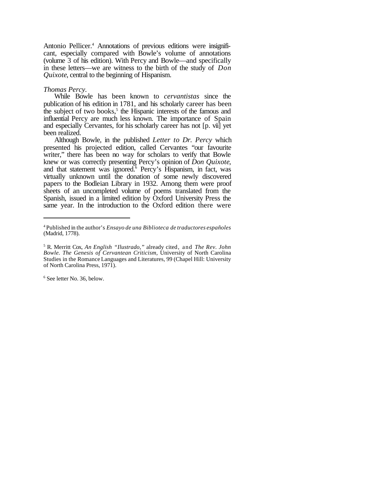Antonio Pellicer.<sup>4</sup> Annotations of previous editions were insignificant, especially compared with Bowle's volume of annotations (volume 3 of his edition). With Percy and Bowle—and specifically in these letters—we are witness to the birth of the study of *Don Quixote*, central to the beginning of Hispanism.

#### *Thomas Percy.*

While Bowle has been known to *cervantistas* since the publication of his edition in 1781, and his scholarly career has been the subject of two books,<sup>5</sup> the Hispanic interests of the famous and influential Percy are much less known. The importance of Spain and especially Cervantes, for his scholarly career has not [p. vii] yet been realized.

Although Bowle, in the published *Letter to Dr. Percy* which presented his projected edition, called Cervantes "our favourite writer," there has been no way for scholars to verify that Bowle knew or was correctly presenting Percy's opinion of *Don Quixote*, and that statement was ignored.<sup>6</sup> Percy's Hispanism, in fact, was virtually unknown until the donation of some newly discovered papers to the Bodleian Library in 1932. Among them were proof sheets of an uncompleted volume of poems translated from the Spanish, issued in a limited edition by Oxford University Press the same year. In the introduction to the Oxford edition there were

6 See letter No. 36, below.

<sup>4</sup> Published in the author's *Ensayo de una Biblioteca de traductores españoles* (Madrid, 1778).

<sup>5</sup> R. Merritt Cox, *An English "Ilustrado,"* already cited, and *The Rev. John Bowle. The Genesis of Cervantean Criticism*, University of North Carolina Studies in the Romance Languages and Literatures, 99 (Chapel Hill: University of North Carolina Press, 1971).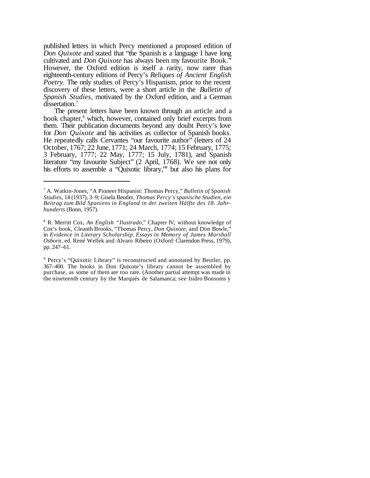published letters in which Percy mentioned a proposed edition of *Don Quixote* and stated that "the Spanish is a language I have long cultivated and *Don Quixote* has always been my favourite Book." However, the Oxford edition is itself a rarity, now rarer than eighteenth-century editions of Percy's *Reliques of Ancient English Poetry.* The only studies of Percy's Hispanism, prior to the recent discovery of these letters, were a short article in the *Bulletin of Spanish Studies*, motivated by the Oxford edition, and a German dissertation.<sup>7</sup>

The present letters have been known through an article and a book chapter,<sup>8</sup> which, however, contained only brief excerpts from them. Their publication documents beyond any doubt Percy's love for *Don Quixote* and his activities as collector of Spanish books. He repeatedly calls Cervantes "our favourite author" (letters of 24 October, 1767; 22 June, 1771; 24 March, 1774; 15 February, 1775; 3 February, 1777; 22 May, 1777; 15 July, 1781), and Spanish literature "my favourite Subject" (2 April, 1768). We see not only his efforts to assemble a "Quixotic library,"<sup>9</sup> but also his plans for

<sup>7</sup> A. Watkin-Jones, "A Pioneer Hispanist: Thomas Percy," *Bulletin of Spanish Studies*, 14 (1937), 3–9; Gisela Beutler, *Thomas Percy's spanische Studien, ein Beitrag zum Bild Spaniens in England in der zweiten Hälfte des 18. Jahrhunderts* (Bonn, 1957).

<sup>8</sup> R. Merritt Cox, *An English "Ilustrado,*" Chapter IV; without knowledge of Cox's book, Cleanth Brooks, "Thomas Percy, *Don Quixote*, and Don Bowle," in *Evidence in Literary Scholarship. Essays in Memory of James Marshall Osborn*, ed. René Wellek and Alvaro Ribeiro (Oxford: Clarendon Press, 1979), pp. 247–61.

<sup>&</sup>lt;sup>9</sup> Percy's "Quixotic Library" is reconstructed and annotated by Beutler, pp. 367–400. The books in Don Quixote's library cannot be assembled by purchase, as some of them are too rare. (Another partial attempt was made in the nineteenth century by the Marqués de Salamanca; see Isidro Bonsoms y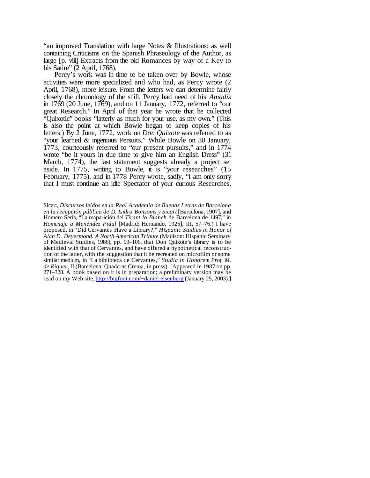"an improved Translation with large Notes & Illustrations: as well containing Criticisms on the Spanish Phraseology of the Author, as large [p. viii] Extracts from the old Romances by way of a Key to his Satire" (2 April, 1768).

Percy's work was in time to be taken over by Bowle, whose activities were more specialized and who had, as Percy wrote (2 April, 1768), more leisure. From the letters we can determine fairly closely the chronology of the shift. Percy had need of his *Amadís* in 1769 (20 June, 1769), and on 11 January, 1772, referred to "our great Research." In April of that year he wrote that he collected "Quixotic" books "latterly as much for your use, as my own." (This is also the point at which Bowle began to keep copies of his letters.) By 2 June, 1772, work on *Don Quixote* was referred to as "your learned & ingenious Persuits." While Bowle on 30 January, 1773, courteously referred to "our present pursuits," and in 1774 wrote "be it yours in due time to give him an English Dress" (31 March, 1774), the last statement suggests already a project set aside. In 1775, writing to Bowle, it is "your researches" (15 February, 1775), and in 1778 Percy wrote, sadly, "I am only sorry that I must continue an idle Spectator of your curious Researches,

Sicart, *Discursos leídos en la Real Academia de Buenas Letras de Barcelona en la recepción pública de D. Isidro Bonsoms y Sicart* [Barcelona, 1907], and Homero Serís, "La reaparición del *Tirant lo Blanch* de Barcelona de 1497," in *Homenaje a Menéndez Pidal* [Madrid: Hernando, 1925], III, 57–76.) I have proposed, in "Did Cervantes Have a Library?," *Hispanic Studies in Honor of Alan D. Deyermond. A North American Tribute* (Madison: Hispanic Seminary of Medieval Studies, 1986), pp. 93–106, that Don Quixote's library is to be identified with that of Cervantes, and have offered a hypothetical reconstruction of the latter, with the suggestion that it be recreated on microfilm or some similar medium, in "La biblioteca de Cervantes," *Studia in Honorem Prof. M. de Riquer*, II (Barcelona: Quaderns Crema, in press). [Appeared in 1987 on pp. 271–328. A book based on it is in preparation; a preliminary version may be read on my Web site, http://bigfoot.com/~daniel.eisenberg (January 25, 2003).]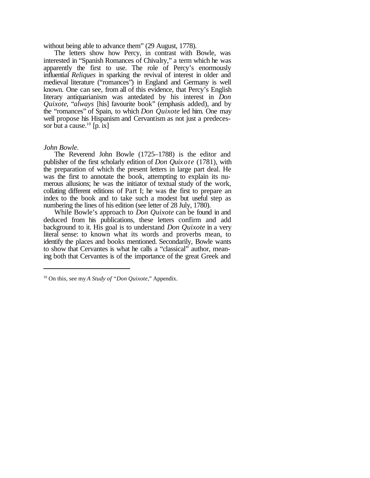without being able to advance them" (29 August, 1778).

The letters show how Percy, in contrast with Bowle, was interested in "Spanish Romances of Chivalry," a term which he was apparently the first to use. The role of Percy's enormously influential *Reliques* in sparking the revival of interest in older and medieval literature ("romances") in England and Germany is well known. One can see, from all of this evidence, that Percy's English literary antiquarianism was antedated by his interest in *Don Quixote*, "*always* [his] favourite book" (emphasis added), and by the "romances" of Spain, to which *Don Quixote* led him. One may well propose his Hispanism and Cervantism as not just a predecessor but a cause.<sup>10</sup> [p. ix]

#### *John Bowle.*

The Reverend John Bowle (1725–1788) is the editor and publisher of the first scholarly edition of *Don Quixote* (1781), with the preparation of which the present letters in large part deal. He was the first to annotate the book, attempting to explain its numerous allusions; he was the initiator of textual study of the work, collating different editions of Part I; he was the first to prepare an index to the book and to take such a modest but useful step as numbering the lines of his edition (see letter of 28 July, 1780).

While Bowle's approach to *Don Quixote* can be found in and deduced from his publications, these letters confirm and add background to it. His goal is to understand *Don Quixote* in a very literal sense: to known what its words and proverbs mean, to identify the places and books mentioned. Secondarily, Bowle wants to show that Cervantes is what he calls a "classical" author, meaning both that Cervantes is of the importance of the great Greek and

<sup>10</sup> On this, see my *A Study of "Don Quixote*," Appendix.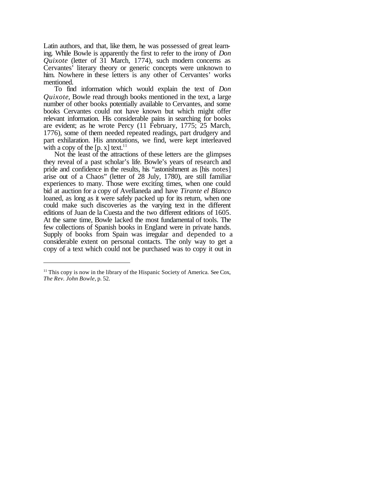Latin authors, and that, like them, he was possessed of great learning. While Bowle is apparently the first to refer to the irony of *Don Quixote* (letter of 31 March, 1774), such modern concerns as Cervantes' literary theory or generic concepts were unknown to him. Nowhere in these letters is any other of Cervantes' works mentioned.

To find information which would explain the text of *Don Quixote*, Bowle read through books mentioned in the text, a large number of other books potentially available to Cervantes, and some books Cervantes could not have known but which might offer relevant information. His considerable pains in searching for books are evident; as he wrote Percy (11 February, 1775; 25 March, 1776), some of them needed repeated readings, part drudgery and part exhilaration. His annotations, we find, were kept interleaved with a copy of the  $[p, x]$  text.<sup>11</sup>

Not the least of the attractions of these letters are the glimpses they reveal of a past scholar's life. Bowle's years of research and pride and confidence in the results, his "astonishment as [his notes] arise out of a Chaos" (letter of 28 July, 1780), are still familiar experiences to many. Those were exciting times, when one could bid at auction for a copy of Avellaneda and have *Tirante el Blanco* loaned, as long as it were safely packed up for its return, when one could make such discoveries as the varying text in the different editions of Juan de la Cuesta and the two different editions of 1605. At the same time, Bowle lacked the most fundamental of tools. The few collections of Spanish books in England were in private hands. Supply of books from Spain was irregular and depended to a considerable extent on personal contacts. The only way to get a copy of a text which could not be purchased was to copy it out in

 $11$  This copy is now in the library of the Hispanic Society of America. See Cox, *The Rev. John Bowle*, p. 52.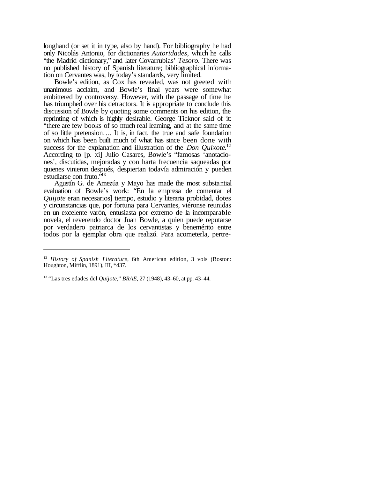longhand (or set it in type, also by hand). For bibliography he had only Nicolás Antonio, for dictionaries *Autoridades*, which he calls "the Madrid dictionary," and later Covarrubias' *Tesoro*. There was no published history of Spanish literature; bibliographical information on Cervantes was, by today's standards, very limited.

Bowle's edition, as Cox has revealed, was not greeted with unanimous acclaim, and Bowle's final years were somewhat embittered by controversy. However, with the passage of time he has triumphed over his detractors. It is appropriate to conclude this discussion of Bowle by quoting some comments on his edition, the reprinting of which is highly desirable. George Ticknor said of it: "there are few books of so much real learning, and at the same time of so little pretension…. It is, in fact, the true and safe foundation on which has been built much of what has since been done with success for the explanation and illustration of the *Don Quixote*. 12 According to [p. xi] Julio Casares, Bowle's "famosas 'anotaciones', discutidas, mejoradas y con harta frecuencia saqueadas por quienes vinieron después, despiertan todavía admiración y pueden estudiarse con fruto."<sup>13</sup>

Agustín G. de Amezúa y Mayo has made the most substantial evaluation of Bowle's work: "En la empresa de comentar el *Quijote* eran necesarios] tiempo, estudio y literaria probidad, dotes y circunstancias que, por fortuna para Cervantes, viéronse reunidas en un excelente varón, entusiasta por extremo de la incomparable novela, el reverendo doctor Juan Bowle, a quien puede reputarse por verdadero patriarca de los cervantistas y benemérito entre todos por la ejemplar obra que realizó. Para acometerla, pertre-

<sup>12</sup> *History of Spanish Literature*, 6th American edition, 3 vols (Boston: Houghton, Mifflin, 1891), III, \*437.

<sup>13</sup> "Las tres edades del *Quijote*," *BRAE*, 27 (1948), 43–60, at pp. 43–44.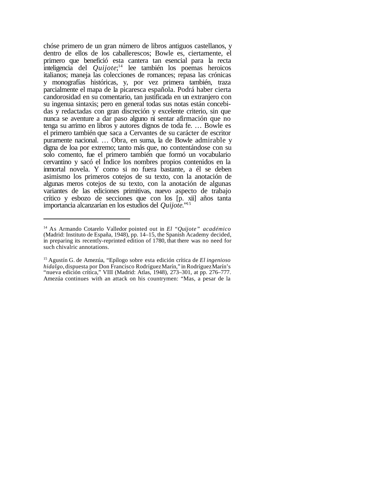chóse primero de un gran número de libros antiguos castellanos, y dentro de ellos de los caballerescos; Bowle es, ciertamente, el primero que benefició esta cantera tan esencial para la recta inteligencia del *Quijote*; <sup>14</sup> lee también los poemas heroicos italianos; maneja las colecciones de romances; repasa las crónicas y monografías históricas, y, por vez primera también, traza parcialmente el mapa de la picaresca española. Podrá haber cierta candorosidad en su comentario, tan justificada en un extranjero con su ingenua sintaxis; pero en general todas sus notas están concebidas y redactadas con gran discreción y excelente criterio, sin que nunca se aventure a dar paso alguno ni sentar afirmación que no tenga su arrimo en libros y autores dignos de toda fe. … Bowle es el primero también que saca a Cervantes de su carácter de escritor puramente nacional. … Obra, en suma, la de Bowle admirable y digna de loa por extremo; tanto más que, no contentándose con su solo comento, fue el primero también que formó un vocabulario cervantino y sacó el Índice los nombres propios contenidos en la inmortal novela. Y como si no fuera bastante, a él se deben asimismo los primeros cotejos de su texto, con la anotación de algunas meros cotejos de su texto, con la anotación de algunas variantes de las ediciones primitivas, nuevo aspecto de trabajo crítico y esbozo de secciones que con los [p. xii] años tanta importancia alcanzarían en los estudios del *Quijote*."15

<sup>14</sup> As Armando Cotarelo Valledor pointed out in *El "Quijote" académico* (Madrid: Instituto de España, 1948), pp. 14–15, the Spanish Academy decided, in preparing its recently-reprinted edition of 1780, that there was no need for such chivalric annotations.

<sup>15</sup> Agustín G. de Amezúa, "Epílogo sobre esta edición crítica de *El ingenioso hidalgo*, dispuesta por Don Francisco RodríguezMarín," in RodríguezMarín's "nueva edición crítica," VIII (Madrid: Atlas, 1948), 273–301, at pp. 276–777. Amezúa continues with an attack on his countrymen: "Mas, a pesar de la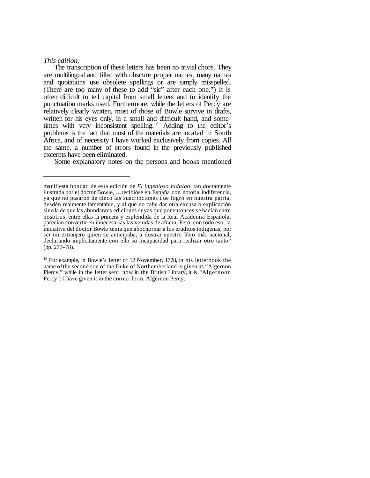#### *This edition.*

The transcription of these letters has been no trivial chore. They are multilingual and filled with obscure proper names; many names and quotations use obsolete spellings or are simply misspelled. (There are too many of these to add "sic" after each one.") It is often difficult to tell capital from small letters and to identify the punctuation marks used. Furthermore, while the letters of Percy are relatively clearly written, most of those of Bowle survive in drafts, written for his eyes only, in a small and difficult hand, and sometimes with very inconsistent spelling.<sup>16</sup> Adding to the editor's problems is the fact that most of the materials are located in South Africa, and of necessity I have worked exclusively from copies. All the same, a number of errors found in the previously published excerpts have been eliminated.

Some explanatory notes on the persons and books mentioned

manifiesta bondad de esta edición de *El ingenioso hidalgo*, tan doctamente ilustrada por el doctor Bowle, …recibióse en España con notoria indiferencia, ya que no pasaron de cinco las suscripciones que logró en nuestra patria, desdén realmente lamentable, y al que no cabe dar otra excusa o explicación sino la de que las abundantes ediciones suyas que por entonces se hacían entre nosotros, entre ellas la primera y espléndida de la Real Academia Española, parecían convertir en innecesarias las venidas de afuera. Pero, con todo eso, la iniciativa del doctor Bowle tenía que abochornar a los eruditos indígenas, por ser un extranjero quien se anticipaba, a ilustrar nuestro libro más nacional, declarando implícitamente con ello su incapacidad para realizar otro tanto" (pp. 277–78).

<sup>&</sup>lt;sup>16</sup> For example, in Bowle's letter of 12 November, 1778, in his letterbook the name ofthe second son of the Duke of Northumberland is given as "Algernon Piercy," while in the letter sent, now in the British Library, it is "Algernoon Percy"; I have given it in the correct form, Algernon Percy.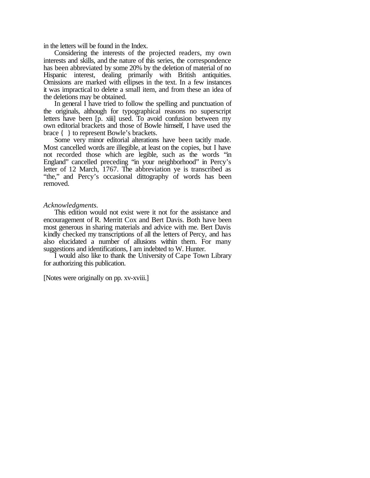in the letters will be found in the Index.

Considering the interests of the projected readers, my own interests and skills, and the nature of this series, the correspondence has been abbreviated by some 20% by the deletion of material of no Hispanic interest, dealing primarily with British antiquities. Omissions are marked with ellipses in the text. In a few instances it was impractical to delete a small item, and from these an idea of the deletions may be obtained.

In general I have tried to follow the spelling and punctuation of the originals, although for typographical reasons no superscript letters have been [p. xiii] used. To avoid confusion between my own editorial brackets and those of Bowle himself, I have used the brace { } to represent Bowle's brackets.

Some very minor editorial alterations have been tacitly made. Most cancelled words are illegible, at least on the copies, but I have not recorded those which are legible, such as the words "in England" cancelled preceding "in your neighborhood" in Percy's letter of 12 March, 1767. The abbreviation ye is transcribed as "the," and Percy's occasional dittography of words has been removed.

#### *Acknowledgments.*

This edition would not exist were it not for the assistance and encouragement of R. Merritt Cox and Bert Davis. Both have been most generous in sharing materials and advice with me. Bert Davis kindly checked my transcriptions of all the letters of Percy, and has also elucidated a number of allusions within them. For many suggestions and identifications, I am indebted to W. Hunter.

I would also like to thank the University of Cape Town Library for authorizing this publication.

[Notes were originally on pp. xv-xviii.]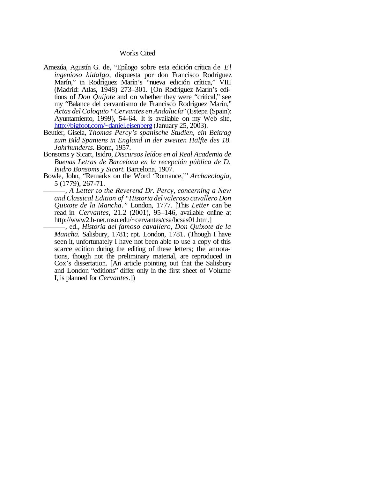#### Works Cited

- Amezúa, Agustín G. de, "Epílogo sobre esta edición crítica de *El ingenioso hidalgo*, dispuesta por don Francisco Rodríguez Marín," in Rodríguez Marín's "nueva edición crítica," VIII (Madrid: Atlas, 1948) 273–301. [On Rodríguez Marín's editions of *Don Quijote* and on whether they were "critical," see my "Balance del cervantismo de Francisco Rodríguez Marín," *Actas del Coloquio "Cervantes en Andalucía*" (Estepa (Spain): Ayuntamiento, 1999), 54-64. It is available on my Web site, http://bigfoot.com/~daniel.eisenberg (January 25, 2003).
- Beutler, Gisela, *Thomas Percy's spanische Studien, ein Beitrag zum Bild Spaniens in England in der zweiten Hälfte des 18. Jahrhunderts.* Bonn, 1957.
- Bonsoms y Sicart, Isidro, *Discursos leídos en al Real Academia de Buenas Letras de Barcelona en la recepción pública de D. Isidro Bonsoms y Sicart.* Barcelona, 1907.
- Bowle, John, "Remarks on the Word 'Romance,'" *Archaeologia,* 5 (1779), 267-71.
- ———, *A Letter to the Reverend Dr. Percy, concerning a New and Classical Edition of "Historia del valeroso cavallero Don Quixote de la Mancha."* London, 1777. [This *Letter* can be read in *Cervantes*, 21.2 (2001), 95–146, available online at http://www2.h-net.msu.edu/~cervantes/csa/bcsas01.htm.]
	- ———, ed., *Historia del famoso cavallero, Don Quixote de la Mancha.* Salisbury, 1781; rpt. London, 1781. (Though I have seen it, unfortunately I have not been able to use a copy of this scarce edition during the editing of these letters; the annotations, though not the preliminary material, are reproduced in Cox's dissertation. [An article pointing out that the Salisbury and London "editions" differ only in the first sheet of Volume I, is planned for *Cervantes*.])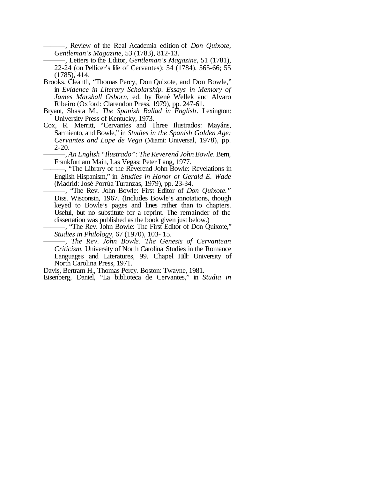———, Review of the Real Academia edition of *Don Quixote, Gentleman's Magazine*, 53 (1783), 812-13.

- ———, Letters to the Editor, *Gentleman's Magazine,* 51 (1781), 22-24 (on Pellicer's life of Cervantes); 54 (1784), 565-66; 55 (1785), 414.
- Brooks, Cleanth, "Thomas Percy, Don Quixote, and Don Bowle," in *Evidence in Literary Scholarship. Essays in Memory of James Marshall Osborn*, ed. by René Wellek and Alvaro Ribeiro (Oxford: Clarendon Press, 1979), pp. 247-61.
- Bryant, Shasta M., *The Spanish Ballad in English*. Lexington: University Press of Kentucky, 1973.
- Cox, R. Merritt, "Cervantes and Three Ilustrados: Mayáns, Sarmiento, and Bowle," in *Studies in the Spanish Golden Age: Cervantes and Lope de Vega* (Miami: Universal, 1978), pp. 2-20.
	- ———, *An English "Ilustrado": The Reverend John Bowle*. Bern, Frankfurt am Main, Las Vegas: Peter Lang, 1977.
	- ———, "The Library of the Reverend John Bowle: Revelations in English Hispanism," in *Studies in Honor of Gerald E. Wade* (Madrid: José Porrúa Turanzas, 1979), pp. 23-34.
	- ———, "The Rev. John Bowle: First Editor of *Don Quixote."* Diss. Wisconsin, 1967. (Includes Bowle's annotations, though keyed to Bowle's pages and lines rather than to chapters. Useful, but no substitute for a reprint. The remainder of the dissertation was published as the book given just below.)
	- -, "The Rev. John Bowle: The First Editor of Don Quixote," *Studies in Philology,* 67 (1970), 103- 15.
	- ———, *The Rev. John Bowle. The Genesis of Cervantean Criticism.* University of North Carolina Studies in the Romance Languages and Literatures, 99. Chapel Hill: University of North Carolina Press, 1971.

Davis, Bertram H., Thomas Percy. Boston: Twayne, 1981.

Eisenberg, Daniel, "La biblioteca de Cervantes," in *Studia in*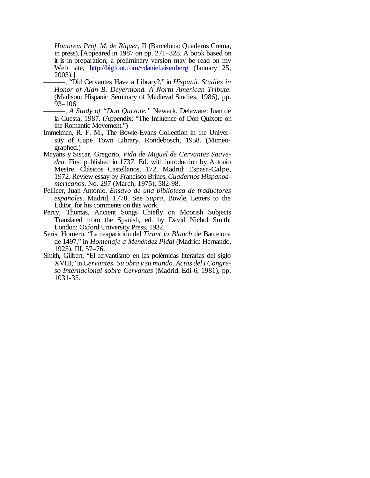*Honorem Prof. M. de Riquer*, II (Barcelona: Quaderns Crema, in press).[Appeared in 1987 on pp. 271–328. A book based on it is in preparation; a preliminary version may be read on my Web site, http://bigfoot.com/~daniel.eisenberg (January 25, 2003).]

———, "Did Cervantes Have a Library?," in *Hispanic Studies in Honor of Alan B. Deyermond. A North American Tribute.* (Madison: Hispanic Seminary of Medieval Studies, 1986), pp. 93–106.

- ———, *A Study of "Don Quixote."* Newark, Delaware: Juan de la Cuesta, 1987. (Appendix: "The Influence of Don Quixote on the Romantic Movement.")
- Immelman, R. F. M., The Bowle-Evans Collection in the University of Cape Town Library. Rondebosch, 1958. (Mimeographed.)
- Mayáns y Siscar, Gregorio, *Vida de Miguel de Cervantes Saavedra.* First published in 1737. Ed. with introduction by Antonio Mestre. Clásicos Castellanos, 172. Madrid: Espasa-Calpe, 1972. Review essay by FranciscoBrines,*Cuadernos Hispanoamericanos,* No. 297 (March, 1975), 582-98.
- Pellicer, Juan Antonio, *Ensayo de una biblioteca de traductores españoles*. Madrid, 1778. See *Supra*, Bowle, Letters to the Editor, for his comments on this work.
- Percy, Thomas, Ancient Songs Chiefly on Moorish Subjects Translated from the Spanish, ed. by David Nichol Smith. London: Oxford University Press, 1932.
- Serís, Homero. "La reaparición del *Tirant lo Blanch* de Barcelona de 1497," in *Homenaje a Menéndez Pidal* (Madrid: Hernando, 1925), III, 57–76.
- Smith, Gilbert, "El cervantismo en las polémicas literarias del siglo XVIII,"in *Cervantes. Su obra y su mundo. Actas del I Congreso Internacional sobre Cervantes* (Madrid: Edi-6, 1981), pp. 1031-35.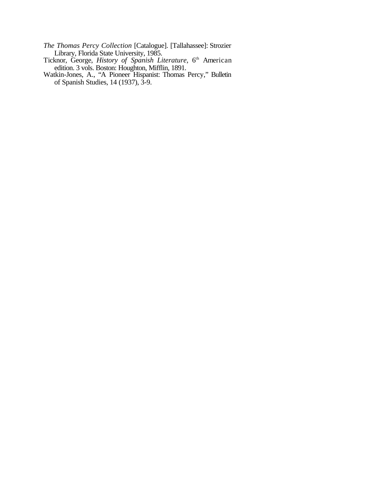- *The Thomas Percy Collection* [Catalogue]. [Tallahassee]: Strozier Library, Florida State University, 1985.
- Ticknor, George, *History of Spanish Literature*, 6 th American edition. 3 vols. Boston: Houghton, Mifflin, 1891.
- Watkin-Jones, A., "A Pioneer Hispanist: Thomas Percy," Bulletin of Spanish Studies, 14 (1937), 3-9.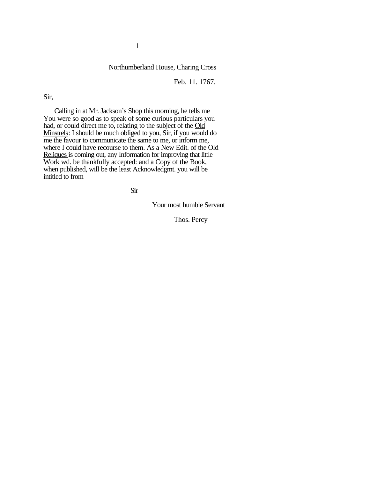## Northumberland House, Charing Cross

Feb. 11. 1767.

Sir,

Calling in at Mr. Jackson's Shop this morning, he tells me You were so good as to speak of some curious particulars you had, or could direct me to, relating to the subject of the Old Minstrels: I should be much obliged to you, Sir, if you would do me the favour to communicate the same to me, or inform me, where I could have recourse to them. As a New Edit. of the Old Reliques is coming out, any Information for improving that little Work wd. be thankfully accepted: and a Copy of the Book, when published, will be the least Acknowledgmt. you will be intitled to from

Sir

Your most humble Servant

Thos. Percy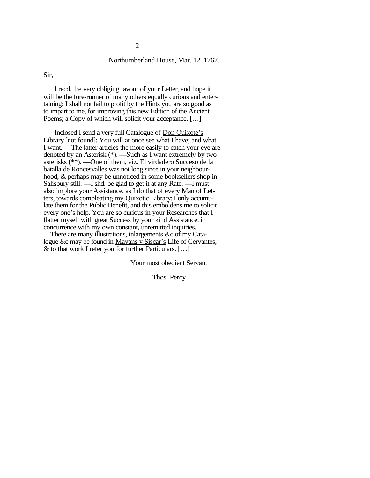#### Northumberland House, Mar. 12. 1767.

Sir,

I recd. the very obliging favour of your Letter, and hope it will be the fore-runner of many others equally curious and entertaining: I shall not fail to profit by the Hints you are so good as to impart to me, for improving this new Edition of the Ancient Poems; a Copy of which will solicit your acceptance. […]

Inclosed I send a very full Catalogue of Don Quixote's Library [not found]: You will at once see what I have; and what I want. —The latter articles the more easily to catch your eye are denoted by an Asterisk (\*). —Such as I want extremely by two asterisks (\*\*). —One of them, viz. El virdadero Succeso de la batalla de Roncesvalles was not long since in your neighbourhood, & perhaps may be unnoticed in some booksellers shop in Salisbury still: —I shd. be glad to get it at any Rate. —I must also implore your Assistance, as I do that of every Man of Letters, towards compleating my Quixotic Library: I only accumulate them for the Public Benefit, and this emboldens me to solicit every one's help. You are so curious in your Researches that I flatter myself with great Success by your kind Assistance. in concurrence with my own constant, unremitted inquiries. —There are many illustrations, inlargements &c of my Catalogue &c may be found in Mayans y Siscar's Life of Cervantes, & to that work I refer you for further Particulars. […]

Your most obedient Servant

Thos. Percy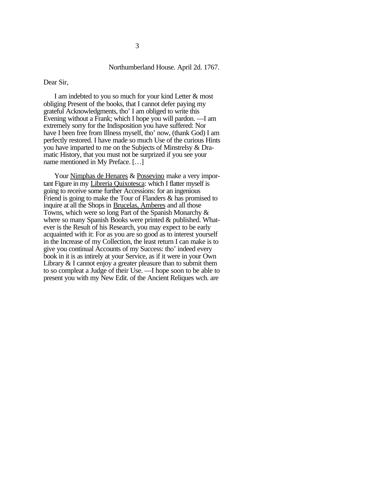#### Northumberland House. April 2d. 1767.

Dear Sir,

I am indebted to you so much for your kind Letter & most obliging Present of the books, that I cannot defer paying my grateful Acknowledgments, tho' I am obliged to write this Evening without a Frank; which I hope you will pardon. —I am extremely sorry for the Indisposition you have suffered: Nor have I been free from Illness myself, tho' now, (thank God) I am perfectly restored. I have made so much Use of the curious Hints you have imparted to me on the Subjects of Minstrelsy & Dramatic History, that you must not be surprized if you see your name mentioned in My Preface. […]

Your Nimphas de Henares & Possevino make a very important Figure in my Libreria Quixotesca: which I flatter myself is going to receive some further Accessions: for an ingenious Friend is going to make the Tour of Flanders & has promised to inquire at all the Shops in Brucelas, Amberes and all those Towns, which were so long Part of the Spanish Monarchy & where so many Spanish Books were printed & published. Whatever is the Result of his Research, you may expect to be early acquainted with it: For as you are so good as to interest yourself in the Increase of my Collection, the least return I can make is to give you continual Accounts of my Success: tho' indeed every book in it is as intirely at your Service, as if it were in your Own Library & I cannot enjoy a greater pleasure than to submit them to so compleat a Judge of their Use. —I hope soon to be able to present you with my New Edit. of the Ancient Reliques wch. are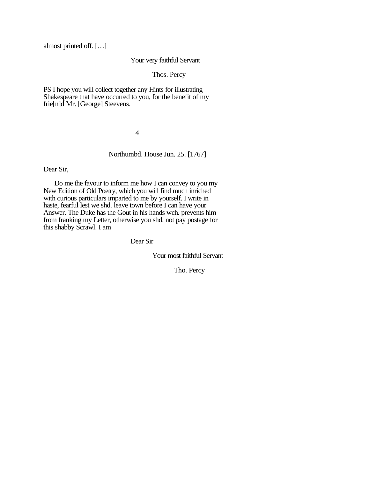almost printed off. […]

## Your very faithful Servant

Thos. Percy

PS I hope you will collect together any Hints for illustrating Shakespeare that have occurred to you, for the benefit of my frie[n]d Mr. [George] Steevens.

4

## Northumbd. House Jun. 25. [1767]

Dear Sir,

Do me the favour to inform me how I can convey to you my New Edition of Old Poetry, which you will find much inriched with curious particulars imparted to me by yourself. I write in haste, fearful lest we shd. leave town before I can have your Answer. The Duke has the Gout in his hands wch. prevents him from franking my Letter, otherwise you shd. not pay postage for this shabby Scrawl. I am

Dear Sir

Your most faithful Servant

Tho. Percy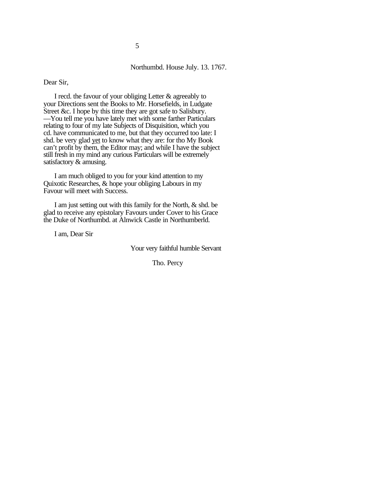#### Northumbd. House July. 13. 1767.

Dear Sir,

I recd. the favour of your obliging Letter & agreeably to your Directions sent the Books to Mr. Horsefields, in Ludgate Street &c. I hope by this time they are got safe to Salisbury. —You tell me you have lately met with some farther Particulars relating to four of my late Subjects of Disquisition, which you cd. have communicated to me, but that they occurred too late: I shd. be very glad yet to know what they are: for tho My Book can't profit by them, the Editor may; and while I have the subject still fresh in my mind any curious Particulars will be extremely satisfactory & amusing.

I am much obliged to you for your kind attention to my Quixotic Researches, & hope your obliging Labours in my Favour will meet with Success.

I am just setting out with this family for the North, & shd. be glad to receive any epistolary Favours under Cover to his Grace the Duke of Northumbd. at Alnwick Castle in Northumberld.

I am, Dear Sir

Your very faithful humble Servant

Tho. Percy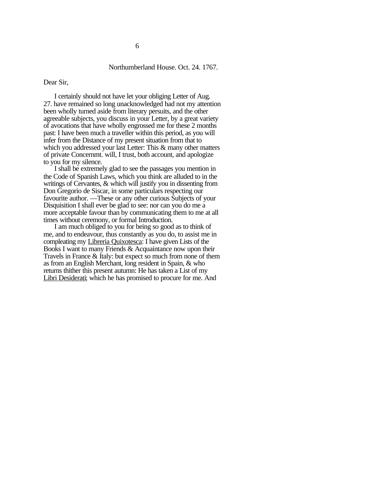#### Northumberland House. Oct. 24. 1767.

Dear Sir,

I certainly should not have let your obliging Letter of Aug. 27. have remained so long unacknowledged had not my attention been wholly turned aside from literary persuits, and the other agreeable subjects, you discuss in your Letter, by a great variety of avocations that have wholly engrossed me for these 2 months past: I have been much a traveller within this period, as you will infer from the Distance of my present situation from that to which you addressed your last Letter: This & many other matters of private Concernmt. will, I trust, both account, and apologize to you for my silence.

I shall be extremely glad to see the passages you mention in the Code of Spanish Laws, which you think are alluded to in the writings of Cervantes, & which will justify you in dissenting from Don Gregorio de Siscar, in some particulars respecting our favourite author. —These or any other curious Subjects of your Disquisition I shall ever be glad to see: nor can you do me a more acceptable favour than by communicating them to me at all times without ceremony, or formal Introduction.

I am much obliged to you for being so good as to think of me, and to endeavour, thus constantly as you do, to assist me in compleating my Libreria Quixotesca: I have given Lists of the Books I want to many Friends & Acquaintance now upon their Travels in France & Italy: but expect so much from none of them as from an English Merchant, long resident in Spain, & who returns thither this present autumn: He has taken a List of my Libri Desiderati; which he has promised to procure for me. And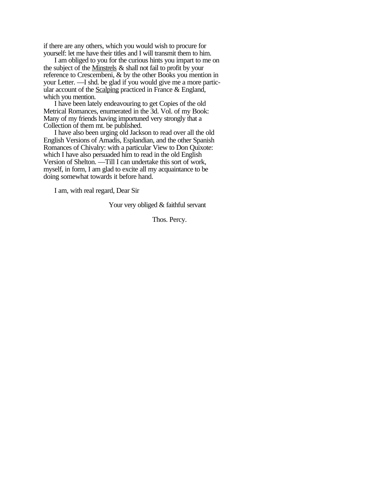if there are any others, which you would wish to procure for yourself: let me have their titles and I will transmit them to him.

I am obliged to you for the curious hints you impart to me on the subject of the Minstrels & shall not fail to profit by your reference to Crescembeni, & by the other Books you mention in your Letter. —I shd. be glad if you would give me a more particular account of the Scalping practiced in France & England, which you mention.

I have been lately endeavouring to get Copies of the old Metrical Romances, enumerated in the 3d. Vol. of my Book: Many of my friends having importuned very strongly that a Collection of them mt. be published.

I have also been urging old Jackson to read over all the old English Versions of Amadis, Esplandian, and the other Spanish Romances of Chivalry: with a particular View to Don Quixote: which I have also persuaded him to read in the old English Version of Shelton. —Till I can undertake this sort of work, myself, in form, I am glad to excite all my acquaintance to be doing somewhat towards it before hand.

I am, with real regard, Dear Sir

Your very obliged  $&$  faithful servant

Thos. Percy.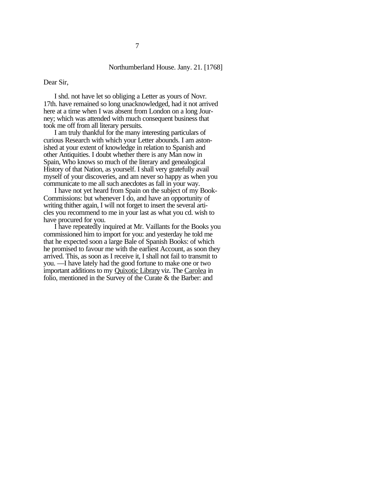#### Northumberland House. Jany. 21. [1768]

Dear Sir,

I shd. not have let so obliging a Letter as yours of Novr. 17th. have remained so long unacknowledged, had it not arrived here at a time when I was absent from London on a long Journey; which was attended with much consequent business that took me off from all literary persuits.

I am truly thankful for the many interesting particulars of curious Research with which your Letter abounds. I am astonished at your extent of knowledge in relation to Spanish and other Antiquities. I doubt whether there is any Man now in Spain, Who knows so much of the literary and genealogical History of that Nation, as yourself. I shall very gratefully avail myself of your discoveries, and am never so happy as when you communicate to me all such anecdotes as fall in your way.

I have not yet heard from Spain on the subject of my Book-Commissions: but whenever I do, and have an opportunity of writing thither again, I will not forget to insert the several articles you recommend to me in your last as what you cd. wish to have procured for you.

I have repeatedly inquired at Mr. Vaillants for the Books you commissioned him to import for you: and yesterday he told me that he expected soon a large Bale of Spanish Books: of which he promised to favour me with the earliest Account, as soon they arrived. This, as soon as I receive it, I shall not fail to transmit to you. —I have lately had the good fortune to make one or two important additions to my Quixotic Library viz. The Carolea in folio, mentioned in the Survey of the Curate & the Barber: and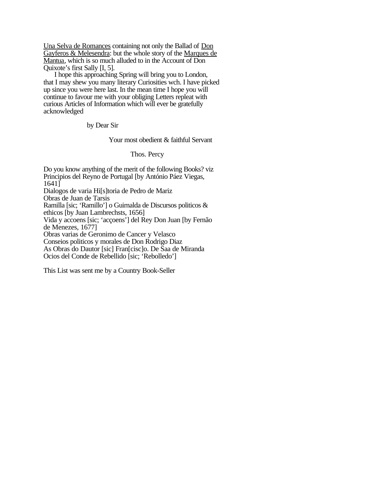Una Selva de Romances containing not only the Ballad of Don Gayferos & Melesendra: but the whole story of the Marques de Mantua, which is so much alluded to in the Account of Don Quixote's first Sally [I, 5].

I hope this approaching Spring will bring you to London, that I may shew you many literary Curiosities wch. I have picked up since you were here last. In the mean time I hope you will continue to favour me with your obliging Letters repleat with curious Articles of Information which will ever be gratefully acknowledged

by Dear Sir

Your most obedient & faithful Servant

Thos. Percy

Do you know anything of the merit of the following Books? viz Principios del Reyno de Portugal [by António Páez Viegas, 1641] Dialogos de varia Hi[s]toria de Pedro de Mariz Obras de Juan de Tarsis Ramilla [sic; 'Ramillo'] o Guirnalda de Discursos politicos & ethicos [by Juan Lambrechsts, 1656] Vida y accoens [sic; 'acçoens'] del Rey Don Juan [by Fernão de Menezes, 1677] Obras varias de Geronimo de Cancer y Velasco Conseios politicos y morales de Don Rodrigo Diaz As Obras do Dautor [sic] Fran[cisc]o. De Saa de Miranda Ocios del Conde de Rebellido [sic; 'Rebolledo']

This List was sent me by a Country Book-Seller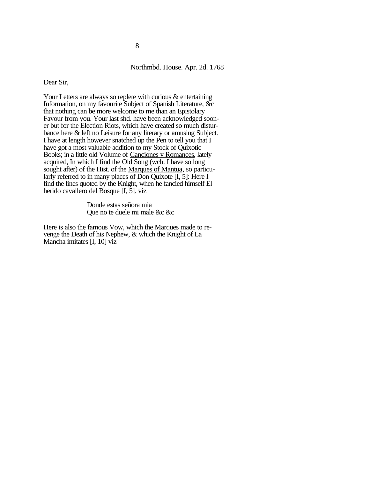#### Northmbd. House. Apr. 2d. 1768

Dear Sir,

Your Letters are always so replete with curious & entertaining Information, on my favourite Subject of Spanish Literature, &c that nothing can be more welcome to me than an Epistolary Favour from you. Your last shd. have been acknowledged sooner but for the Election Riots, which have created so much disturbance here & left no Leisure for any literary or amusing Subject. I have at length however snatched up the Pen to tell you that I have got a most valuable addition to my Stock of Quixotic Books; in a little old Volume of Canciones y Romances, lately acquired, In which I find the Old Song (wch. I have so long sought after) of the Hist. of the Marques of Mantua, so particularly referred to in many places of Don Quixote  $[I, 5]$ : Here I find the lines quoted by the Knight, when he fancied himself El herido cavallero del Bosque [I, 5]. viz

> Donde estas señora mia Que no te duele mi male &c &c

Here is also the famous Vow, which the Marques made to revenge the Death of his Nephew, & which the Knight of La Mancha imitates [I, 10] viz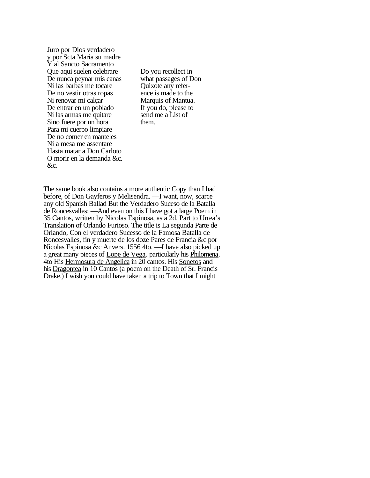Juro por Dios verdadero y por Scta Maria su madre Y al Sancto Sacramento Que aqui suelen celebrare De nunca peynar mis canas Ni las barbas me tocare De no vestir otras ropas Ni renovar mi calçar De entrar en un poblado Ni las armas me quitare Sino fuere por un hora Para mi cuerpo limpiare De no comer en manteles Ni a mesa me assentare Hasta matar a Don Carloto O morir en la demanda &c. &c.

Do you recollect in what passages of Don Quixote any reference is made to the Marquis of Mantua. If you do, please to send me a List of them.

The same book also contains a more authentic Copy than I had before, of Don Gayferos y Melisendra. —I want, now, scarce any old Spanish Ballad But the Verdadero Suceso de la Batalla de Roncesvalles: —And even on this I have got a large Poem in 35 Cantos, written by Nicolas Espinosa, as a 2d. Part to Urrea's Translation of Orlando Furioso. The title is La segunda Parte de Orlando, Con el verdadero Sucesso de la Famosa Batalla de Roncesvalles, fin y muerte de los doze Pares de Francia &c por Nicolas Espinosa &c Anvers. 1556 4to. —I have also picked up a great many pieces of Lope de Vega. particularly his Philomena. 4to His Hermosura de Angelica in 20 cantos. His Sonetos and his Dragontea in 10 Cantos (a poem on the Death of Sr. Francis Drake.) I wish you could have taken a trip to Town that I might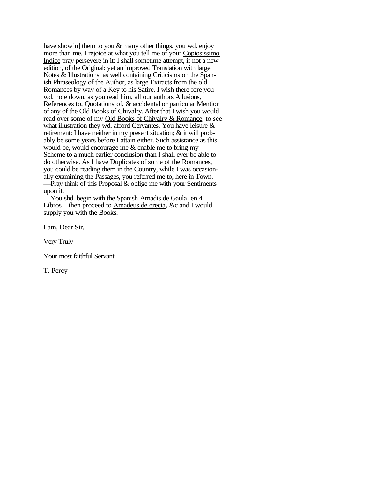have show[n] them to you & many other things, you wd. enjoy more than me. I rejoice at what you tell me of your Copiosissimo Indice pray persevere in it: I shall sometime attempt, if not a new edition, of the Original: yet an improved Translation with large Notes & Illustrations: as well containing Criticisms on the Spanish Phraseology of the Author, as large Extracts from the old Romances by way of a Key to his Satire. I wish there fore you wd. note down, as you read him, all our authors Allusions, References to, Quotations of, & accidental or particular Mention of any of the Old Books of Chivalry. After that I wish you would read over some of my Old Books of Chivalry & Romance, to see what illustration they wd. afford Cervantes. You have leisure & retirement: I have neither in my present situation; & it will probably be some years before I attain either. Such assistance as this would be, would encourage me & enable me to bring my Scheme to a much earlier conclusion than I shall ever be able to do otherwise. As I have Duplicates of some of the Romances, you could be reading them in the Country, while I was occasionally examining the Passages, you referred me to, here in Town. —Pray think of this Proposal  $\&$  oblige me with your Sentiments upon it.

—You shd. begin with the Spanish Amadis de Gaula. en 4 Libros—then proceed to Amadeus de grecia, &c and I would supply you with the Books.

I am, Dear Sir,

Very Truly

Your most faithful Servant

T. Percy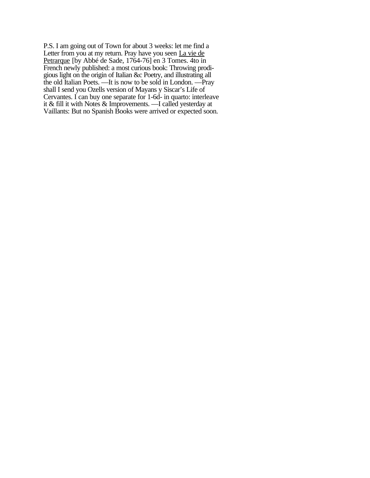P.S. I am going out of Town for about 3 weeks: let me find a Letter from you at my return. Pray have you seen La vie de Petrarque [by Abbé de Sade, 1764-76] en 3 Tomes. 4to in French newly published: a most curious book: Throwing prodigious light on the origin of Italian &c Poetry, and illustrating all the old Italian Poets. —It is now to be sold in London. —Pray shall I send you Ozells version of Mayans y Siscar's Life of Cervantes. I can buy one separate for 1-6d- in quarto: interleave it & fill it with Notes & Improvements. —I called yesterday at Vaillants: But no Spanish Books were arrived or expected soon.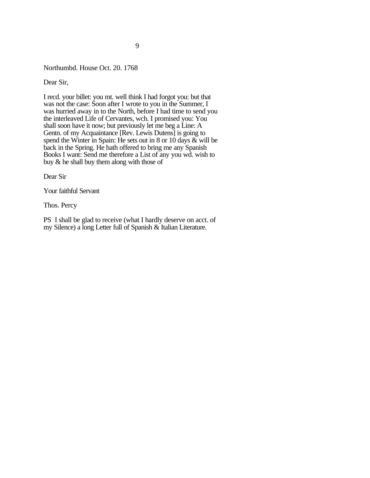## Northumbd. House Oct. 20. 1768

Dear Sir,

I recd. your billet: you mt. well think I had forgot you: but that was not the case: Soon after I wrote to you in the Summer, I was hurried away in to the North, before I had time to send you the interleaved Life of Cervantes, wch. I promised you: You shall soon have it now; but previously let me beg a Line: A Gentn. of my Acquaintance [Rev. Lewis Dutens] is going to spend the Winter in Spain: He sets out in 8 or 10 days & will be back in the Spring. He hath offered to bring me any Spanish Books I want: Send me therefore a List of any you wd. wish to buy & he shall buy them along with those of

Dear Sir

Your faithful Servant

Thos. Percy

PS I shall be glad to receive (what I hardly deserve on acct. of my Silence) a long Letter full of Spanish & Italian Literature.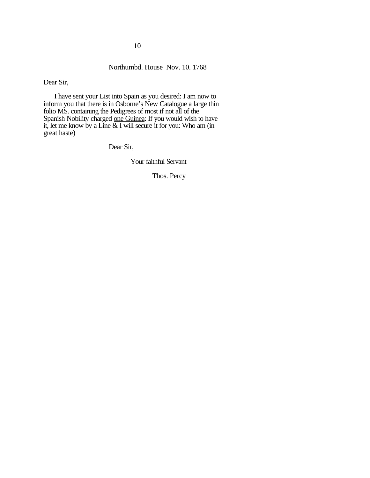## Northumbd. House Nov. 10. 1768

Dear Sir,

I have sent your List into Spain as you desired: I am now to inform you that there is in Osborne's New Catalogue a large thin folio MS. containing the Pedigrees of most if not all of the Spanish Nobility charged one Guinea: If you would wish to have it, let me know by a Line & I will secure it for you: Who am (in great haste)

Dear Sir,

Your faithful Servant

Thos. Percy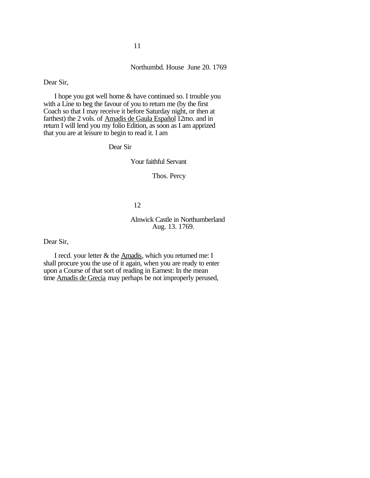## Northumbd. House June 20. 1769

Dear Sir,

I hope you got well home & have continued so. I trouble you with a Line to beg the favour of you to return me (by the first Coach so that I may receive it before Saturday night, or then at farthest) the 2 vols. of Amadis de Gaula Español 12mo. and in return I will lend you my folio Edition, as soon as I am apprized that you are at leisure to begin to read it. I am

Dear Sir

Your faithful Servant

Thos. Percy

12

## Alnwick Castle in Northumberland Aug. 13. 1769.

Dear Sir,

I recd. your letter & the Amadis, which you returned me: I shall procure you the use of it again, when you are ready to enter upon a Course of that sort of reading in Earnest: In the mean time Amadis de Grecia may perhaps be not improperly perused,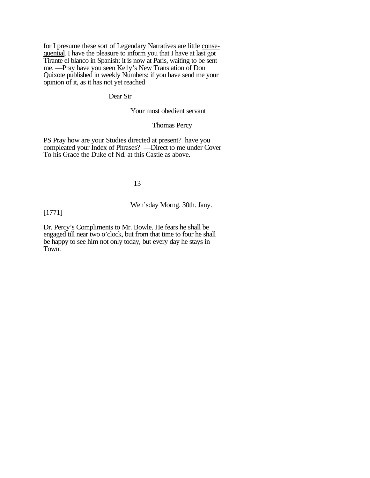for I presume these sort of Legendary Narratives are little consequential. I have the pleasure to inform you that I have at last got Tirante el blanco in Spanish: it is now at Paris, waiting to be sent me. —Pray have you seen Kelly's New Translation of Don Quixote published in weekly Numbers: if you have send me your opinion of it, as it has not yet reached

Dear Sir

Your most obedient servant

#### Thomas Percy

PS Pray how are your Studies directed at present? have you compleated your Index of Phrases? —Direct to me under Cover To his Grace the Duke of Nd. at this Castle as above.

13

#### Wen'sday Morng. 30th. Jany.

[1771]

Dr. Percy's Compliments to Mr. Bowle. He fears he shall be engaged till near two o'clock, but from that time to four he shall be happy to see him not only today, but every day he stays in Town.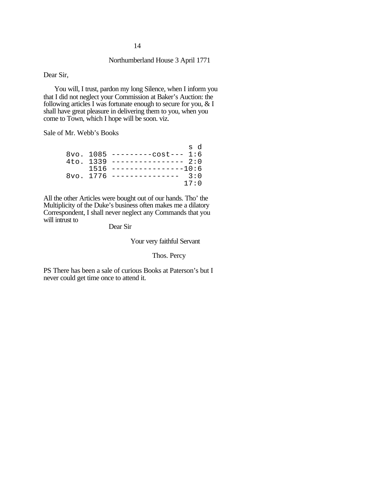## Northumberland House 3 April 1771

Dear Sir,

You will, I trust, pardon my long Silence, when I inform you that I did not neglect your Commission at Baker's Auction: the following articles I was fortunate enough to secure for you, & I shall have great pleasure in delivering them to you, when you come to Town, which I hope will be soon. viz.

Sale of Mr. Webb's Books

|  | s d                                     |
|--|-----------------------------------------|
|  | $8vo. 1085$ ---------cost--- 1:6        |
|  | $4t_0$ , 1339 ---------------- 2:0      |
|  | $1516$ ----------------10:6             |
|  | $8\text{vo}$ . 1776 --------------- 3:0 |
|  | 17:0                                    |

All the other Articles were bought out of our hands. Tho' the Multiplicity of the Duke's business often makes me a dilatory Correspondent, I shall never neglect any Commands that you will intrust to

Dear Sir

Your very faithful Servant

Thos. Percy

PS There has been a sale of curious Books at Paterson's but I never could get time once to attend it.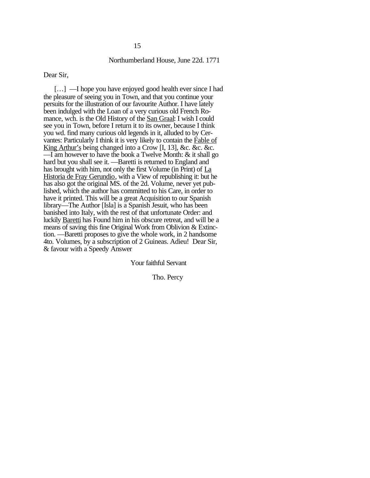#### Northumberland House, June 22d. 1771

Dear Sir,

[...] —I hope you have enjoyed good health ever since I had the pleasure of seeing you in Town, and that you continue your persuits for the illustration of our favourite Author. I have lately been indulged with the Loan of a very curious old French Romance, wch. is the Old History of the <u>San Graal</u>: I wish I could see you in Town, before I return it to its owner, because I think you wd. find many curious old legends in it, alluded to by Cervantes: Particularly I think it is very likely to contain the Fable of King Arthur's being changed into a Crow [I, 13], &c. &c. &c. —I am however to have the book a Twelve Month: & it shall go hard but you shall see it. —Baretti is returned to England and has brought with him, not only the first Volume (in Print) of La Historia de Fray Gerundio, with a View of republishing it: but he has also got the original MS. of the 2d. Volume, never yet published, which the author has committed to his Care, in order to have it printed. This will be a great Acquisition to our Spanish library—The Author [Isla] is a Spanish Jesuit, who has been banished into Italy, with the rest of that unfortunate Order: and luckily Baretti has Found him in his obscure retreat, and will be a means of saving this fine Original Work from Oblivion & Extinction. —Baretti proposes to give the whole work, in 2 handsome 4to. Volumes, by a subscription of 2 Guineas. Adieu! Dear Sir, & favour with a Speedy Answer

Your faithful Servant

Tho. Percy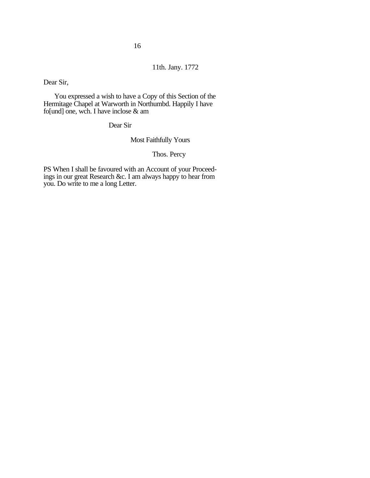11th. Jany. 1772

Dear Sir,

You expressed a wish to have a Copy of this Section of the Hermitage Chapel at Warworth in Northumbd. Happily I have fo[und] one, wch. I have inclose  $&$  am

Dear Sir

## Most Faithfully Yours

## Thos. Percy

PS When I shall be favoured with an Account of your Proceedings in our great Research &c. I am always happy to hear from you. Do write to me a long Letter.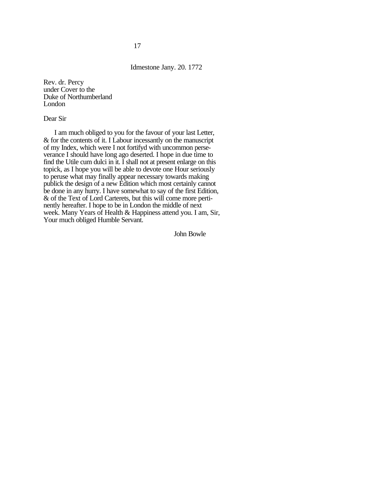Idmestone Jany. 20. 1772

Rev. dr. Percy under Cover to the Duke of Northumberland London

Dear Sir

I am much obliged to you for the favour of your last Letter, & for the contents of it. I Labour incessantly on the manuscript of my Index, which were I not fortifyd with uncommon perseverance I should have long ago deserted. I hope in due time to find the Utile cum dulci in it. I shall not at present enlarge on this topick, as I hope you will be able to devote one Hour seriously to peruse what may finally appear necessary towards making publick the design of a new Edition which most certainly cannot be done in any hurry. I have somewhat to say of the first Edition, & of the Text of Lord Carterets, but this will come more pertinently hereafter. I hope to be in London the middle of next week. Many Years of Health & Happiness attend you. I am, Sir, Your much obliged Humble Servant.

John Bowle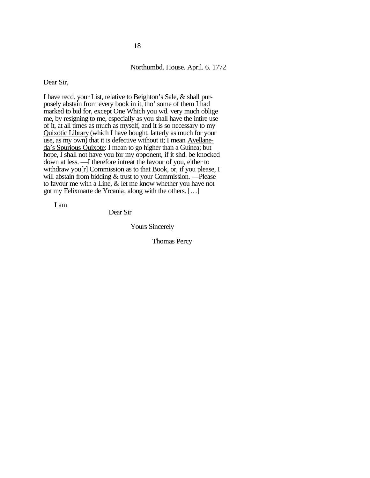## Northumbd. House. April. 6. 1772

Dear Sir,

I have recd. your List, relative to Beighton's Sale, & shall purposely abstain from every book in it, tho' some of them I had marked to bid for, except One Which you wd. very much oblige me, by resigning to me, especially as you shall have the intire use of it, at all times as much as myself, and it is so necessary to my Quixotic Library (which I have bought, latterly as much for your use, as my own) that it is defective without it; I mean Avellaneda's Spurious Quixote: I mean to go higher than a Guinea; but hope, I shall not have you for my opponent, if it shd. be knocked down at less. —I therefore intreat the favour of you, either to withdraw you[r] Commission as to that Book, or, if you please, I will abstain from bidding & trust to your Commission. —Please to favour me with a Line, & let me know whether you have not got my Felixmarte de Yrcania, along with the others. […]

I am

Dear Sir

Yours Sincerely

Thomas Percy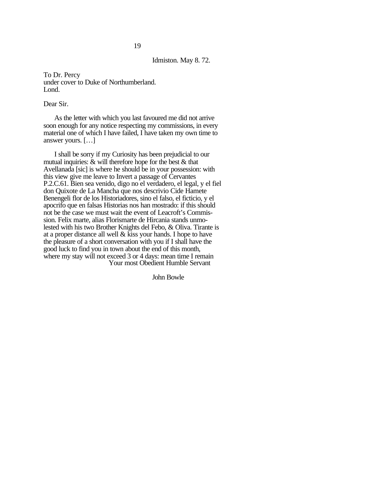Idmiston. May 8. 72.

To Dr. Percy under cover to Duke of Northumberland. Lond.

Dear Sir.

As the letter with which you last favoured me did not arrive soon enough for any notice respecting my commissions, in every material one of which I have failed, I have taken my own time to answer yours. […]

I shall be sorry if my Curiosity has been prejudicial to our mutual inquiries: & will therefore hope for the best & that Avellanada [sic] is where he should be in your possession: with this view give me leave to Invert a passage of Cervantes P.2.C.61. Bien sea venido, digo no el verdadero, el legal, y el fiel don Quixote de La Mancha que nos descrivio Cide Hamete Benengeli flor de los Historiadores, sino el falso, el ficticio, y el apocrifo que en falsas Historias nos han mostrado: if this should not be the case we must wait the event of Leacroft's Commission. Felix marte, alias Florismarte de Hircania stands unmolested with his two Brother Knights del Febo, & Oliva. Tirante is at a proper distance all well  $&$  kiss your hands. I hope to have the pleasure of a short conversation with you if I shall have the good luck to find you in town about the end of this month, where my stay will not exceed 3 or 4 days: mean time I remain Your most Obedient Humble Servant

John Bowle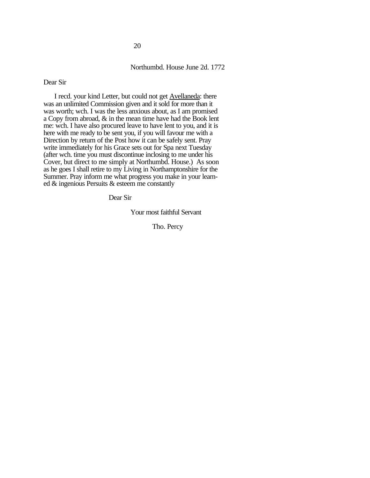# Northumbd. House June 2d. 1772

#### Dear Sir

I recd. your kind Letter, but could not get Avellaneda: there was an unlimited Commission given and it sold for more than it was worth; wch. I was the less anxious about, as I am promised a Copy from abroad, & in the mean time have had the Book lent me: wch. I have also procured leave to have lent to you, and it is here with me ready to be sent you, if you will favour me with a Direction by return of the Post how it can be safely sent. Pray write immediately for his Grace sets out for Spa next Tuesday (after wch. time you must discontinue inclosing to me under his Cover, but direct to me simply at Northumbd. House.) As soon as he goes I shall retire to my Living in Northamptonshire for the Summer. Pray inform me what progress you make in your learned & ingenious Persuits & esteem me constantly

Dear Sir

Your most faithful Servant

Tho. Percy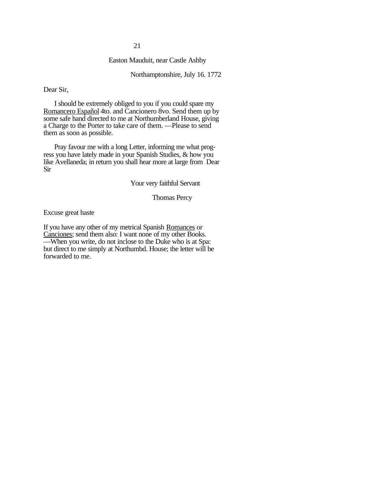# 21

## Easton Mauduit, near Castle Ashby

Northamptonshire, July 16. 1772

Dear Sir,

I should be extremely obliged to you if you could spare my Romancero Español 4to. and Cancionero 8vo. Send them up by some safe hand directed to me at Northumberland House, giving a Charge to the Porter to take care of them. —Please to send them as soon as possible.

Pray favour me with a long Letter, informing me what progress you have lately made in your Spanish Studies, & how you like Avellaneda; in return you shall hear more at large from Dear Sir

Your very faithful Servant

Thomas Percy

Excuse great haste

If you have any other of my metrical Spanish Romances or Canciones; send them also: I want none of my other Books. —When you write, do not inclose to the Duke who is at Spa: but direct to me simply at Northumbd. House; the letter will be forwarded to me.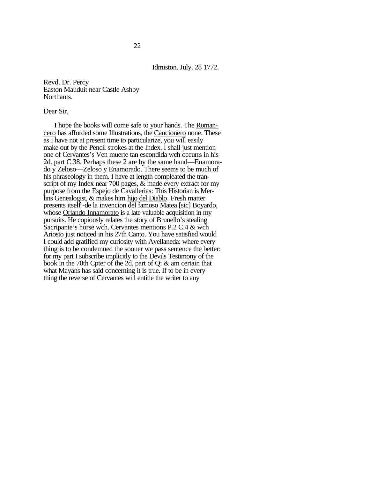Idmiston. July. 28 1772.

Revd. Dr. Percy Easton Mauduit near Castle Ashby Northants.

Dear Sir,

I hope the books will come safe to your hands. The Romancero has afforded some Illustrations, the Cancionero none. These as I have not at present time to particularize, you will easily make out by the Pencil strokes at the Index. I shall just mention one of Cervantes's Ven muerte tan escondida wch occurrs in his 2d. part C.38. Perhaps these 2 are by the same hand—Enamorado y Zeloso—Zeloso y Enamorado. There seems to be much of his phraseology in them. I have at length compleated the transcript of my Index near 700 pages,  $\&$  made every extract for my purpose from the Espejo de Cavallerias: This Historian is Merlins Genealogist, & makes him hijo del Diablo. Fresh matter presents itself -de la invencion del famoso Matea [sic] Boyardo, whose Orlando Innamorato is a late valuable acquisition in my pursuits. He copiously relates the story of Brunello's stealing Sacripante's horse wch. Cervantes mentions P.2 C.4 & wch Ariosto just noticed in his 27th Canto. You have satisfied would I could add gratified my curiosity with Avellaneda: where every thing is to be condemned the sooner we pass sentence the better: for my part I subscribe implicitly to the Devils Testimony of the book in the 70th Cpter of the 2d. part of Q: & am certain that what Mayans has said concerning it is true. If to be in every thing the reverse of Cervantes will entitle the writer to any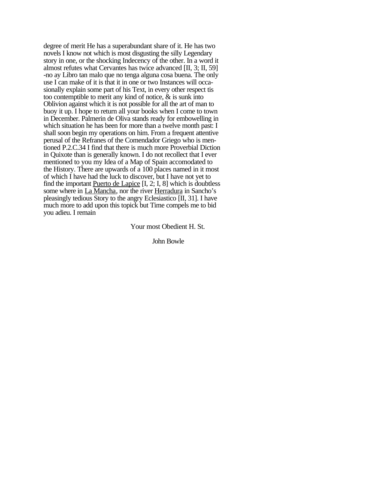degree of merit He has a superabundant share of it. He has two novels I know not which is most disgusting the silly Legendary story in one, or the shocking Indecency of the other. In a word it almost refutes what Cervantes has twice advanced [II, 3; II, 59] -no ay Libro tan malo que no tenga alguna cosa buena. The only use I can make of it is that it in one or two Instances will occasionally explain some part of his Text, in every other respect tis too contemptible to merit any kind of notice, & is sunk into Oblivion against which it is not possible for all the art of man to buoy it up. I hope to return all your books when I come to town in December. Palmerin de Oliva stands ready for embowelling in which situation he has been for more than a twelve month past: I shall soon begin my operations on him. From a frequent attentive perusal of the Refranes of the Comendador Griego who is mentioned P.2.C.34 I find that there is much more Proverbial Diction in Quixote than is generally known. I do not recollect that I ever mentioned to you my Idea of a Map of Spain accomodated to the History. There are upwards of a 100 places named in it most of which I have had the luck to discover, but I have not yet to find the important Puerto de Lapice [I, 2; I, 8] which is doubtless some where in La Mancha, nor the river Herradura in Sancho's pleasingly tedious Story to the angry Eclesiastico [II, 31]. I have much more to add upon this topick but Time compels me to bid you adieu. I remain

Your most Obedient H. St.

John Bowle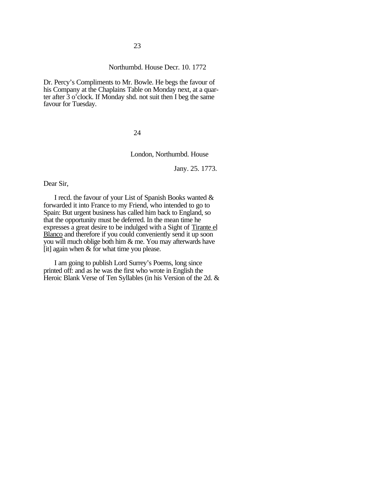#### Northumbd. House Decr. 10. 1772

Dr. Percy's Compliments to Mr. Bowle. He begs the favour of his Company at the Chaplains Table on Monday next, at a quarter after 3 o'clock. If Monday shd. not suit then I beg the same favour for Tuesday.

24

#### London, Northumbd. House

Jany. 25. 1773.

Dear Sir,

I recd. the favour of your List of Spanish Books wanted & forwarded it into France to my Friend, who intended to go to Spain: But urgent business has called him back to England, so that the opportunity must be deferred. In the mean time he expresses a great desire to be indulged with a Sight of Tirante el Blanco and therefore if you could conveniently send it up soon you will much oblige both him & me. You may afterwards have [it] again when & for what time you please.

I am going to publish Lord Surrey's Poems, long since printed off: and as he was the first who wrote in English the Heroic Blank Verse of Ten Syllables (in his Version of the 2d. &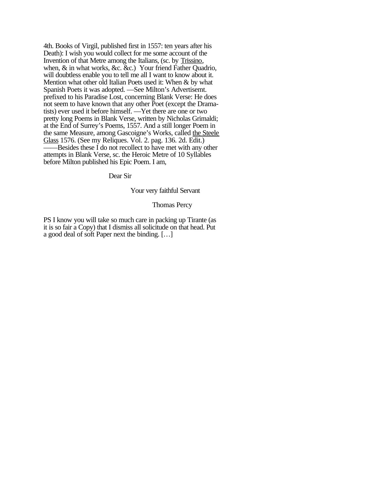4th. Books of Virgil, published first in 1557: ten years after his Death): I wish you would collect for me some account of the Invention of that Metre among the Italians, (sc. by Trissino, when, & in what works, &c. &c.) Your friend Father Quadrio, will doubtless enable you to tell me all I want to know about it. Mention what other old Italian Poets used it: When & by what Spanish Poets it was adopted. —See Milton's Advertisemt. prefixed to his Paradise Lost, concerning Blank Verse: He does not seem to have known that any other Poet (except the Dramatists) ever used it before himself. —Yet there are one or two pretty long Poems in Blank Verse, written by Nicholas Grimaldi; at the End of Surrey's Poems, 1557. And a still longer Poem in the same Measure, among Gascoigne's Works, called the Steele Glass 1576. (See my Reliques. Vol. 2. pag. 136. 2d. Edit.) ——Besides these I do not recollect to have met with any other attempts in Blank Verse, sc. the Heroic Metre of 10 Syllables before Milton published his Epic Poem. I am,

Dear Sir

Your very faithful Servant

#### Thomas Percy

PS I know you will take so much care in packing up Tirante (as it is so fair a Copy) that I dismiss all solicitude on that head. Put a good deal of soft Paper next the binding. […]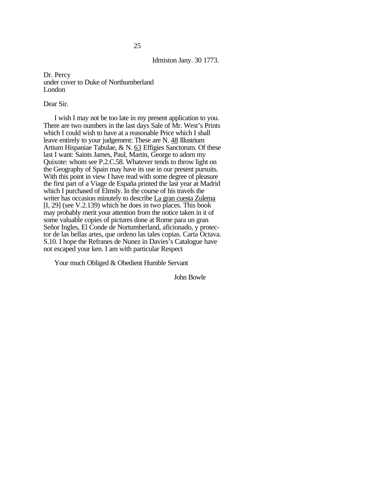Idmiston Jany. 30 1773.

Dr. Percy under cover to Duke of Northumberland London

Dear Sir.

I wish I may not be too late in my present application to you. There are two numbers in the last days Sale of Mr. West's Prints which I could wish to have at a reasonable Price which I shall leave entirely to your judgement: These are N. 48 Illustrium Artium Hispaniae Tabulae, & N. 63 Effigies Sanctorum. Of these last I want: Saints James, Paul, Martin, George to adorn my Quixote: whom see P.2.C.58. Whatever tends to throw light on the Geography of Spain may have its use in our present pursuits. With this point in view I have read with some degree of pleasure the first part of a Viage de España printed the last year at Madrid which I purchased of Elmsly. In the course of his travels the writer has occasion minutely to describe La gran cuesta Zulema [I, 29] (see V.2.139) which he does in two places. This book may probably merit your attention from the notice taken in it of some valuable copies of pictures done at Rome para un gran Señor Ingles, El Conde de Nortumberland, aficionado, y protector de las bellas artes, que ordeno las tales copias. Carta Octava. S.10. I hope the Refranes de Nunez in Davies's Catalogue have not escaped your ken. I am with particular Respect

Your much Obliged & Obedient Humble Servant

John Bowle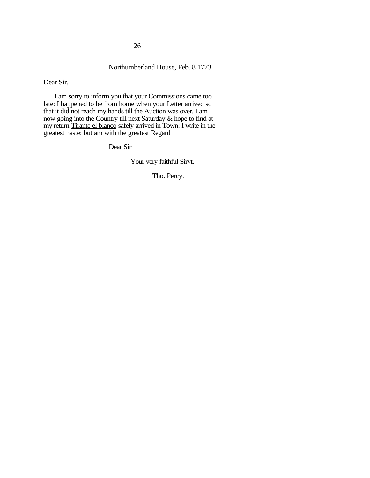# Northumberland House, Feb. 8 1773.

Dear Sir,

I am sorry to inform you that your Commissions came too late: I happened to be from home when your Letter arrived so that it did not reach my hands till the Auction was over. I am now going into the Country till next Saturday & hope to find at my return Tirante el blanco safely arrived in Town: I write in the greatest haste: but am with the greatest Regard

Dear Sir

Your very faithful Sirvt.

Tho. Percy.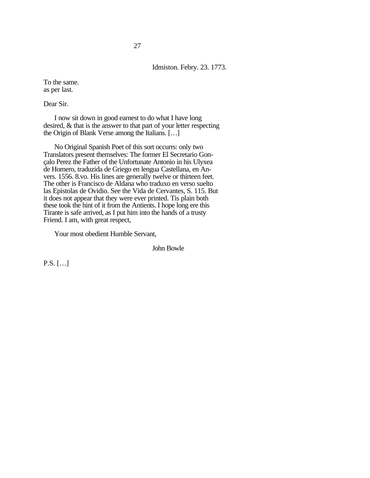Idmiston. Febry. 23. 1773.

To the same. as per last.

Dear Sir.

I now sit down in good earnest to do what I have long desired, & that is the answer to that part of your letter respecting the Origin of Blank Verse among the Italians. […]

No Original Spanish Poet of this sort occurrs: only two Translators present themselves: The former El Secretario Gonçalo Perez the Father of the Unfortunate Antonio in his Ulyxea de Homero, traduzida de Griego en lengua Castellana, en Anvers. 1556. 8.vo. His lines are generally twelve or thirteen feet. The other is Francisco de Aldana who traduxo en verso suelto las Epistolas de Ovidio. See the Vida de Cervantes, S. 115. But it does not appear that they were ever printed. Tis plain both these took the hint of it from the Antients. I hope long ere this Tirante is safe arrived, as I put him into the hands of a trusty Friend. I am, with great respect,

Your most obedient Humble Servant,

John Bowle

P.S. […]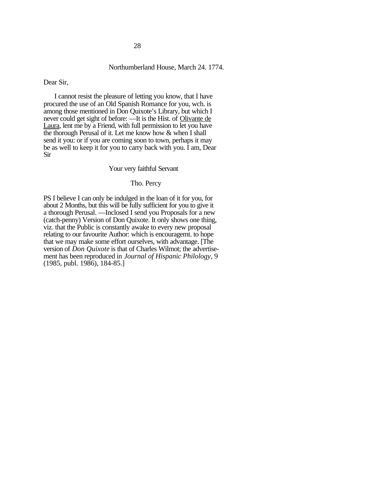## Northumberland House, March 24. 1774.

Dear Sir,

I cannot resist the pleasure of letting you know, that I have procured the use of an Old Spanish Romance for you, wch. is among those mentioned in Don Quixote's Library, but which I never could get sight of before: —It is the Hist. of Olivante de Laura, lent me by a Friend, with full permission to let you have the thorough Perusal of it. Let me know how & when I shall send it you: or if you are coming soon to town, perhaps it may be as well to keep it for you to carry back with you. I am, Dear Sir

### Your very faithful Servant

### Tho. Percy

PS I believe I can only be indulged in the loan of it for you, for about 2 Months, but this will be fully sufficient for you to give it a thorough Perusal. —Inclosed I send you Proposals for a new (catch-penny) Version of Don Quixote. It only shows one thing, viz. that the Public is constantly awake to every new proposal relating to our favourite Author: which is encouragemt. to hope that we may make some effort ourselves, with advantage. [The version of *Don Quixote* is that of Charles Wilmot; the advertisement has been reproduced in *Journal of Hispanic Philology*, 9 (1985, publ. 1986), 184-85.]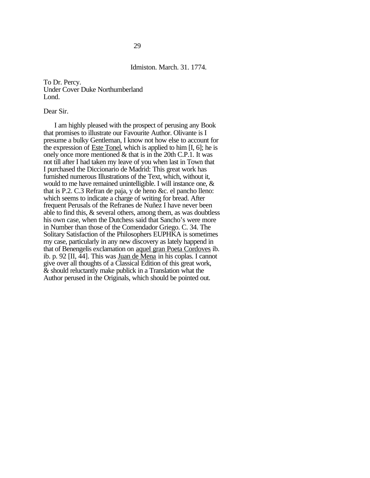Idmiston. March. 31. 1774.

To Dr. Percy. Under Cover Duke Northumberland Lond.

Dear Sir.

I am highly pleased with the prospect of perusing any Book that promises to illustrate our Favourite Author. Olivante is I presume a bulky Gentleman, I know not how else to account for the expression of <u>Este Tonel</u>, which is applied to him  $[I, 6]$ ; he is onely once more mentioned & that is in the 20th C.P.1. It was not till after I had taken my leave of you when last in Town that I purchased the Diccionario de Madrid: This great work has furnished numerous Illustrations of the Text, which, without it, would to me have remained unintelligible. I will instance one, & that is P.2. C.3 Refran de paja, y de heno &c. el pancho lleno: which seems to indicate a charge of writing for bread. After frequent Perusals of the Refranes de Nuñez I have never been able to find this, & several others, among them, as was doubtless his own case, when the Dutchess said that Sancho's were more in Number than those of the Comendador Griego. C. 34. The Solitary Satisfaction of the Philosophers EUPHKA is sometimes my case, particularly in any new discovery as lately happend in that of Benengelis exclamation on aquel gran Poeta Cordoves ib. ib. p. 92 [II, 44]. This was Juan de Mena in his coplas. I cannot give over all thoughts of a Classical Edition of this great work, & should reluctantly make publick in a Translation what the Author perused in the Originals, which should be pointed out.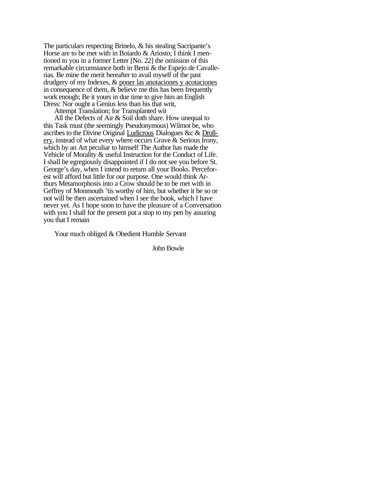The particulars respecting Brinelo, & his stealing Sacripante's Horse are to be met with in Boiardo & Ariosto; I think I mentioned to you in a former Letter [No. 22] the omission of this remarkable circumstance both in Berni & the Espejo de Cavallerias. Be mine the merit hereafter to avail myself of the past drudgery of my Indexes, & poner las anotaciones y acotaciones in consequence of them, & believe me this has been frequently work enough; Be it yours in due time to give him an English Dress: Nor ought a Genius less than his that writ,

Attempt Translation; for Transplanted wit

All the Defects of Air & Soil doth share. How unequal to this Task must (the seemingly Pseudonymous) Wilmot be, who ascribes to the Divine Original Ludicrous Dialogues &c & Drollery, instead of what every where occurs Grave & Serious Irony, which by an Art peculiar to himself The Author has made the Vehicle of Morality & useful Instruction for the Conduct of Life. I shall be egregiously disappointed if I do not see you before St. George's day, when I intend to return all your Books. Perceforest will afford but little for our purpose. One would think Arthurs Metamorphosis into a Crow should be to be met with in Geffrey of Monmouth 'tis worthy of him, but whether it be so or not will be then ascertained when I see the book, which I have never yet. As I hope soon to have the pleasure of a Conversation with you I shall for the present put a stop to my pen by assuring you that I remain

Your much obliged & Obedient Humble Servant

John Bowle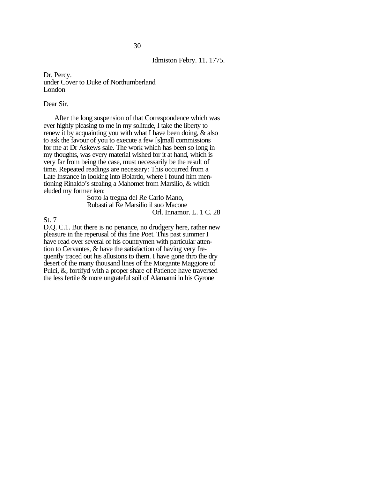Idmiston Febry. 11. 1775.

Dr. Percy. under Cover to Duke of Northumberland London

## Dear Sir.

After the long suspension of that Correspondence which was ever highly pleasing to me in my solitude, I take the liberty to renew it by acquainting you with what I have been doing, & also to ask the favour of you to execute a few [s]mall commissions for me at Dr Askews sale. The work which has been so long in my thoughts, was every material wished for it at hand, which is very far from being the case, must necessarily be the result of time. Repeated readings are necessary: This occurred from a Late Instance in looking into Boiardo, where I found him mentioning Rinaldo's stealing a Mahomet from Marsilio, & which eluded my former ken:

Sotto la tregua del Re Carlo Mano, Rubasti al Re Marsilio il suo Macone Orl. Innamor. L. 1 C. 28

#### St. 7

D.Q. C.1. But there is no penance, no drudgery here, rather new pleasure in the reperusal of this fine Poet. This past summer I have read over several of his countrymen with particular attention to Cervantes, & have the satisfaction of having very frequently traced out his allusions to them. I have gone thro the dry desert of the many thousand lines of the Morgante Maggiore of Pulci, &, fortifyd with a proper share of Patience have traversed the less fertile & more ungrateful soil of Alamanni in his Gyrone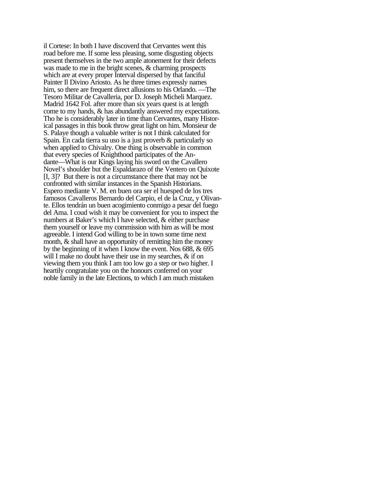il Cortese: In both I have discoverd that Cervantes went this road before me. If some less pleasing, some disgusting objects present themselves in the two ample atonement for their defects was made to me in the bright scenes, & charming prospects which are at every proper Interval dispersed by that fanciful Painter Il Divino Ariosto. As he three times expressly names him, so there are frequent direct allusions to his Orlando. —The Tesoro Militar de Cavalleria, por D. Joseph Micheli Marquez. Madrid 1642 Fol. after more than six years quest is at length come to my hands, & has abundantly answered my expectations. Tho he is considerably later in time than Cervantes, many Historical passages in this book throw great light on him. Monsieur de S. Palaye though a valuable writer is not I think calculated for Spain. En cada tierra su uso is a just proverb & particularly so when applied to Chivalry. One thing is observable in common that every species of Knighthood participates of the Andante—What is our Kings laying his sword on the Cavallero Novel's shoulder but the Espaldarazo of the Ventero on Quixote [I, 3]? But there is not a circumstance there that may not be confronted with similar instances in the Spanish Historians. Espero mediante V. M. en buen ora ser el huesped de los tres famosos Cavalleros Bernardo del Carpio, el de la Cruz, y Olivante. Ellos tendrán un buen acogimiento conmigo a pesar del fuego del Ama. I coud wish it may be convenient for you to inspect the numbers at Baker's which I have selected, & either purchase them yourself or leave my commission with him as will be most agreeable. I intend God willing to be in town some time next month, & shall have an opportunity of remitting him the money by the beginning of it when I know the event. Nos 688, & 695 will I make no doubt have their use in my searches,  $\&$  if on viewing them you think I am too low go a step or two higher. I heartily congratulate you on the honours conferred on your noble family in the late Elections, to which I am much mistaken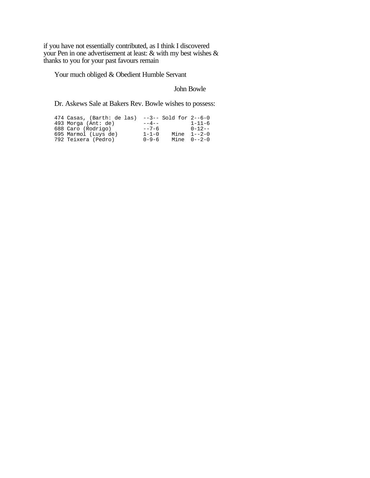if you have not essentially contributed, as I think I discovered your Pen in one advertisement at least: & with my best wishes & thanks to you for your past favours remain

Your much obliged & Obedient Humble Servant

## John Bowle

Dr. Askews Sale at Bakers Rev. Bowle wishes to possess:

| 474 Casas, (Barth: de las) |             |                                                         |
|----------------------------|-------------|---------------------------------------------------------|
| 493 Morga (Ant: de)        |             | $1 - 11 - 6$                                            |
| 688 Caro (Rodrigo)         |             | $0 - 12 - -$                                            |
| 695 Marmol (Luys de)       | $1 - 1 - 0$ | Mine $1--2-0$                                           |
| 792 Teixera (Pedro)        | $0 - 9 - 6$ | Mine $0--2-0$                                           |
|                            |             | $--3--$ Sold for $2--6-0$<br>$- - 4 - -$<br>$- - 7 - 6$ |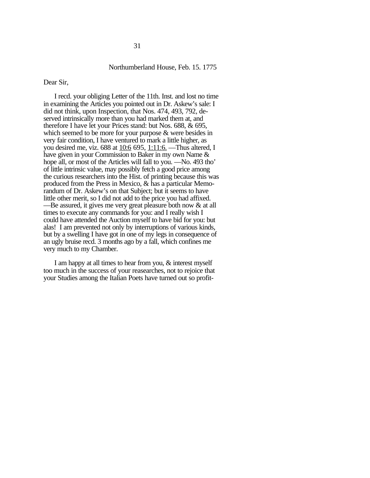### Northumberland House, Feb. 15. 1775

Dear Sir,

I recd. your obliging Letter of the 11th. Inst. and lost no time in examining the Articles you pointed out in Dr. Askew's sale: I did not think, upon Inspection, that Nos. 474, 493, 792, deserved intrinsically more than you had marked them at, and therefore I have let your Prices stand: but Nos. 688, & 695, which seemed to be more for your purpose  $\&$  were besides in very fair condition, I have ventured to mark a little higher, as you desired me, viz. 688 at 10:6 695, 1:11:6. —Thus altered, I have given in your Commission to Baker in my own Name  $\&$ hope all, or most of the Articles will fall to you. —No. 493 tho' of little intrinsic value, may possibly fetch a good price among the curious researchers into the Hist. of printing because this was produced from the Press in Mexico, & has a particular Memorandum of Dr. Askew's on that Subject; but it seems to have little other merit, so I did not add to the price you had affixed. —Be assured, it gives me very great pleasure both now & at all times to execute any commands for you: and I really wish I could have attended the Auction myself to have bid for you: but alas! I am prevented not only by interruptions of various kinds, but by a swelling I have got in one of my legs in consequence of an ugly bruise recd. 3 months ago by a fall, which confines me very much to my Chamber.

I am happy at all times to hear from you, & interest myself too much in the success of your reasearches, not to rejoice that your Studies among the Italian Poets have turned out so profit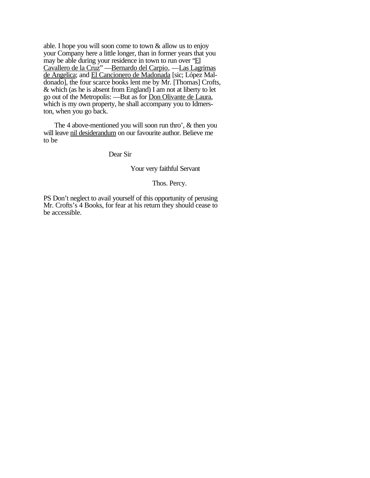able. I hope you will soon come to town & allow us to enjoy your Company here a little longer, than in former years that you may be able during your residence in town to run over "El Cavallero de la Cruz" —Bernardo del Carpio, —Las Lagrimas de Angelica; and El Cancionero de Madonada [sic; López Maldonado], the four scarce books lent me by Mr. [Thomas] Crofts, & which (as he is absent from England) I am not at liberty to let go out of the Metropolis: —But as for Don Olivante de Laura, which is my own property, he shall accompany you to Idmerston, when you go back.

The 4 above-mentioned you will soon run thro', & then you will leave nil desiderandum on our favourite author. Believe me to be

Dear Sir

Your very faithful Servant

Thos. Percy.

PS Don't neglect to avail yourself of this opportunity of perusing Mr. Crofts's 4 Books, for fear at his return they should cease to be accessible.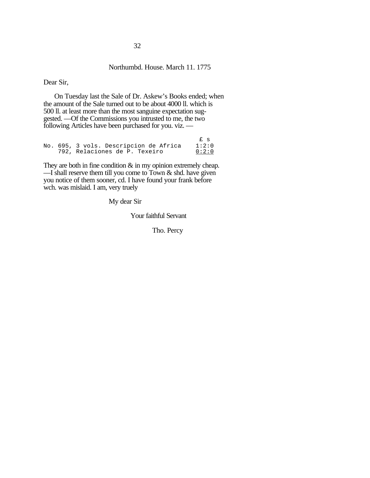# Northumbd. House. March 11. 1775

Dear Sir,

On Tuesday last the Sale of Dr. Askew's Books ended; when the amount of the Sale turned out to be about 4000 ll. which is 500 ll. at least more than the most sanguine expectation suggested. —Of the Commissions you intrusted to me, the two following Articles have been purchased for you. viz. —

|  |                                        | £s    |
|--|----------------------------------------|-------|
|  | No. 695, 3 vols. Descripcion de Africa | 1:2:0 |
|  | 792. Relaciones de P. Texeiro          | 0:2:0 |

They are both in fine condition  $\&$  in my opinion extremely cheap.  $-$ I shall reserve them till you come to Town  $\&$  shd. have given you notice of them sooner, cd. I have found your frank before wch. was mislaid. I am, very truely

My dear Sir

Your faithful Servant

Tho. Percy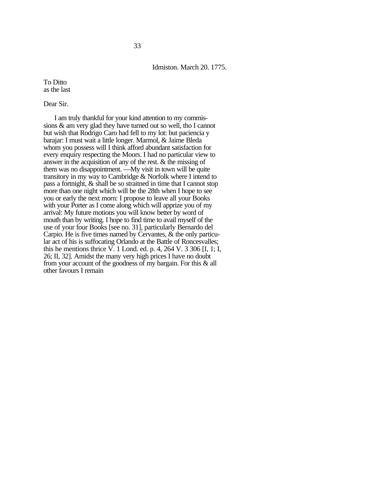### Idmiston. March 20. 1775.

To Ditto as the last

Dear Sir.

I am truly thankful for your kind attention to my commissions & am very glad they have turned out so well, tho I cannot but wish that Rodrigo Caro had fell to my lot: but paciencia y barajar: I must wait a little longer. Marmol, & Jaime Bleda whom you possess will I think afford abundant satisfaction for every enquiry respecting the Moors. I had no particular view to answer in the acquisition of any of the rest. & the missing of them was no disappointment. —My visit in town will be quite transitory in my way to Cambridge & Norfolk where I intend to pass a fortnight, & shall be so straitned in time that I cannot stop more than one night which will be the 28th when I hope to see you or early the next morn: I propose to leave all your Books with your Porter as I come along which will apprize you of my arrival: My future motions you will know better by word of mouth than by writing. I hope to find time to avail myself of the use of your four Books [see no. 31], particularly Bernardo del Carpio. He is five times named by Cervantes, & the only particular act of his is suffocating Orlando at the Battle of Roncesvalles; this he mentions thrice  $\overline{V}$ . 1 Lond. ed. p. 4, 264 V. 3 306 [I, 1; I, 26; II, 32]. Amidst the many very high prices I have no doubt from your account of the goodness of my bargain. For this & all other favours I remain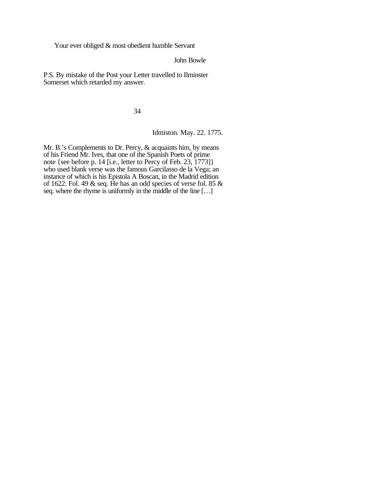Your ever obliged  $&$  most obedient humble Servant

# John Bowle

P.S. By mistake of the Post your Letter travelled to Ilminster Somerset which retarded my answer.

34

# Idmiston. May. 22. 1775.

Mr. B.'s Complements to Dr. Percy, & acquaints him, by means of his Friend Mr. Ives, that one of the Spanish Poets of prime note {see before p. 14 [i.e., letter to Percy of Feb. 23, 1773]} who used blank verse was the famous Garcilasso de la Vega; an instance of which is his Epistola A Boscan, in the Madrid edition of 1622. Fol. 49 & seq. He has an odd species of verse fol. 85 & seq. where the rhyme is uniformly in the middle of the line […]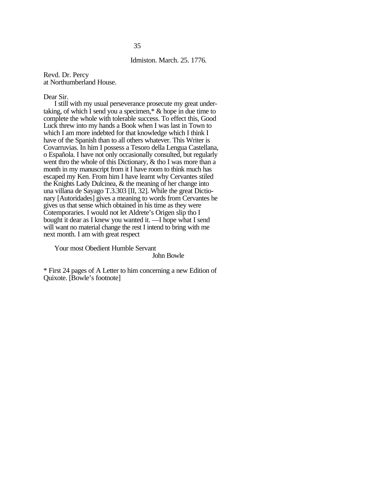Idmiston. March. 25. 1776.

Revd. Dr. Percy at Northumberland House.

Dear Sir.

I still with my usual perseverance prosecute my great undertaking, of which I send you a specimen,\* & hope in due time to complete the whole with tolerable success. To effect this, Good Luck threw into my hands a Book when I was last in Town to which I am more indebted for that knowledge which I think I have of the Spanish than to all others whatever. This Writer is Covarruvias. In him I possess a Tesoro della Lengua Castellana, o Española. I have not only occasionally consulted, but regularly went thro the whole of this Dictionary, & tho I was more than a month in my manuscript from it I have room to think much has escaped my Ken. From him I have learnt why Cervantes stiled the Knights Lady Dulcinea, & the meaning of her change into una villana de Sayago T.3.303 [II, 32]. While the great Dictionary [Autoridades] gives a meaning to words from Cervantes he gives us that sense which obtained in his time as they were Cotemporaries. I would not let Aldrete's Origen slip tho I bought it dear as I knew you wanted it. —I hope what I send will want no material change the rest I intend to bring with me next month. I am with great respect

Your most Obedient Humble Servant

John Bowle

\* First 24 pages of A Letter to him concerning a new Edition of Quixote. [Bowle's footnote]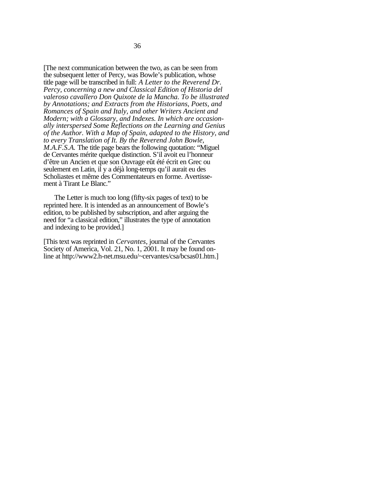[The next communication between the two, as can be seen from the subsequent letter of Percy, was Bowle's publication, whose title page will be transcribed in full: *A Letter to the Reverend Dr. Percy, concerning a new and Classical Edition of Historia del valeroso cavallero Don Quixote de la Mancha. To be illustrated by Annotations; and Extracts from the Historians, Poets, and Romances of Spain and Italy, and other Writers Ancient and Modern; with a Glossary, and Indexes. In which are occasionally interspersed Some Reflections on the Learning and Genius of the Author. With a Map of Spain, adapted to the History, and to every Translation of It. By the Reverend John Bowle, M.A.F.S.A.* The title page bears the following quotation: "Miguel de Cervantes mérite quelque distinction. S'il avoit eu l'honneur d'être un Ancien et que son Ouvrage eût été écrit en Grec ou seulement en Latin, il y a déjà long-temps qu'il aurait eu des Scholiastes et même des Commentateurs en forme. Avertissement à Tirant Le Blanc."

The Letter is much too long (fifty-six pages of text) to be reprinted here. It is intended as an announcement of Bowle's edition, to be published by subscription, and after arguing the need for "a classical edition," illustrates the type of annotation and indexing to be provided.]

[This text was reprinted in *Cervantes*, journal of the Cervantes Society of America, Vol. 21, No. 1, 2001. It may be found online at http://www2.h-net.msu.edu/~cervantes/csa/bcsas01.htm.]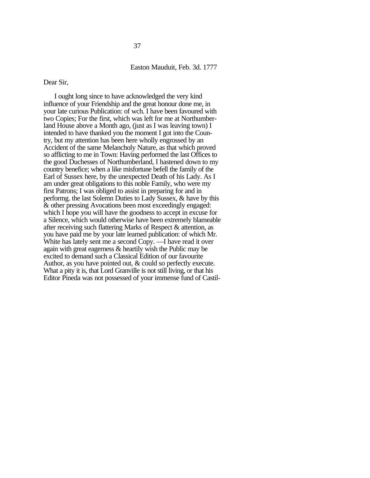### Easton Mauduit, Feb. 3d. 1777

Dear Sir,

I ought long since to have acknowledged the very kind influence of your Friendship and the great honour done me, in your late curious Publication: of wch. I have been favoured with two Copies; For the first, which was left for me at Northumberland House above a Month ago, (just as I was leaving town) I intended to have thanked you the moment I got into the Country, but my attention has been here wholly engrossed by an Accident of the same Melancholy Nature, as that which proved so afflicting to me in Town: Having performed the last Offices to the good Duchesses of Northumberland, I hastened down to my country benefice; when a like misfortune befell the family of the Earl of Sussex here, by the unexpected Death of his Lady. As I am under great obligations to this noble Family, who were my first Patrons; I was obliged to assist in preparing for and in performg. the last Solemn Duties to Lady Sussex, & have by this & other pressing Avocations been most exceedingly engaged: which I hope you will have the goodness to accept in excuse for a Silence, which would otherwise have been extremely blameable after receiving such flattering Marks of Respect & attention, as you have paid me by your late learned publication: of which Mr. White has lately sent me a second Copy. —I have read it over again with great eagerness & heartily wish the Public may be excited to demand such a Classical Edition of our favourite Author, as you have pointed out, & could so perfectly execute. What a pity it is, that Lord Granville is not still living, or that his Editor Pineda was not possessed of your immense fund of Castil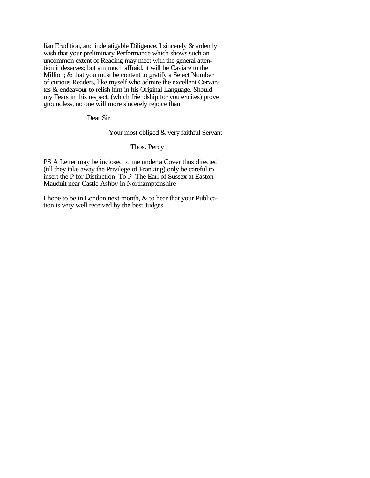lian Erudition, and indefatigable Diligence. I sincerely & ardently wish that your preliminary Performance which shows such an uncommon extent of Reading may meet with the general attention it deserves; but am much affraid, it will be Caviare to the Million; & that you must be content to gratify a Select Number of curious Readers, like myself who admire the excellent Cervantes & endeavour to relish him in his Original Language. Should my Fears in this respect, (which friendship for you excites) prove groundless, no one will more sincerely rejoice than,

Dear Sir

Your most obliged & very faithful Servant

Thos. Percy

PS A Letter may be inclosed to me under a Cover thus directed (till they take away the Privilege of Franking) only be careful to insert the P for Distinction To P The Earl of Sussex at Easton Mauduit near Castle Ashby in Northamptonshire

I hope to be in London next month, & to hear that your Publication is very well received by the best Judges.—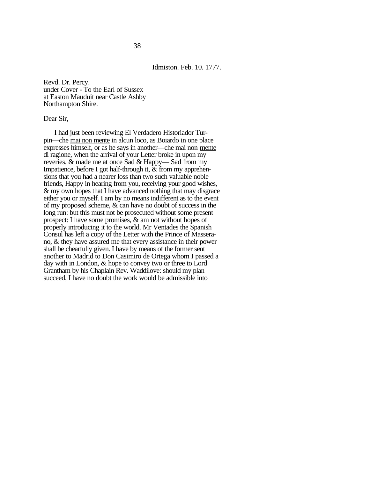Idmiston. Feb. 10. 1777.

Revd. Dr. Percy. under Cover - To the Earl of Sussex at Easton Mauduit near Castle Ashby Northampton Shire.

Dear Sir,

I had just been reviewing El Verdadero Historiador Turpin—che mai non mente in alcun loco, as Boiardo in one place expresses himself, or as he says in another—che mai non mente di ragione, when the arrival of your Letter broke in upon my reveries, & made me at once Sad & Happy— Sad from my Impatience, before I got half-through it,  $\&$  from my apprehensions that you had a nearer loss than two such valuable noble friends, Happy in hearing from you, receiving your good wishes, & my own hopes that I have advanced nothing that may disgrace either you or myself. I am by no means indifferent as to the event of my proposed scheme, & can have no doubt of success in the long run: but this must not be prosecuted without some present prospect: I have some promises, & am not without hopes of properly introducing it to the world. Mr Ventades the Spanish Consul has left a copy of the Letter with the Prince of Masserano, & they have assured me that every assistance in their power shall be chearfully given. I have by means of the former sent another to Madrid to Don Casimiro de Ortega whom I passed a day with in London, & hope to convey two or three to Lord Grantham by his Chaplain Rev. Waddilove: should my plan succeed, I have no doubt the work would be admissible into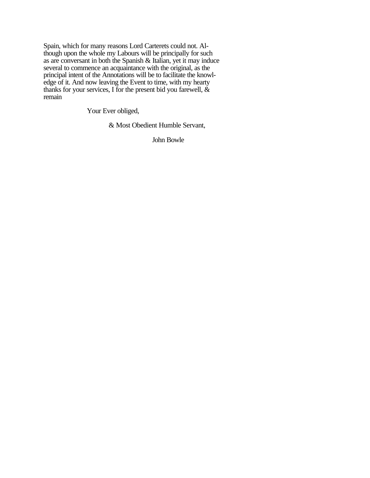Spain, which for many reasons Lord Carterets could not. Although upon the whole my Labours will be principally for such as are conversant in both the Spanish & Italian, yet it may induce several to commence an acquaintance with the original, as the principal intent of the Annotations will be to facilitate the knowledge of it. And now leaving the Event to time, with my hearty thanks for your services, I for the present bid you farewell,  $\&$ remain

Your Ever obliged,

& Most Obedient Humble Servant,

John Bowle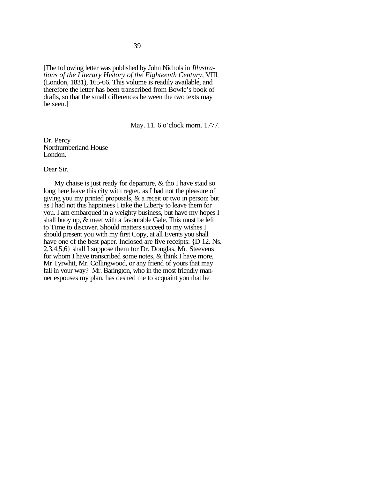[The following letter was published by John Nichols in *Illustrations of the Literary History of the Eighteenth Century*, VIII (London, 1831), 165-66. This volume is readily available, and therefore the letter has been transcribed from Bowle's book of drafts, so that the small differences between the two texts may be seen.]

May. 11. 6 o'clock morn. 1777.

Dr. Percy Northumberland House London.

Dear Sir.

My chaise is just ready for departure, & tho I have staid so long here leave this city with regret, as I had not the pleasure of giving you my printed proposals, & a receit or two in person: but as I had not this happiness I take the Liberty to leave them for you. I am embarqued in a weighty business, but have my hopes I shall buoy up, & meet with a favourable Gale. This must be left to Time to discover. Should matters succeed to my wishes I should present you with my first Copy, at all Events you shall have one of the best paper. Inclosed are five receipts: {D 12. Ns. 2,3,4,5,6} shall I suppose them for Dr. Douglas, Mr. Steevens for whom I have transcribed some notes, & think I have more, Mr Tyrwhit, Mr. Collingwood, or any friend of yours that may fall in your way? Mr. Barington, who in the most friendly manner espouses my plan, has desired me to acquaint you that he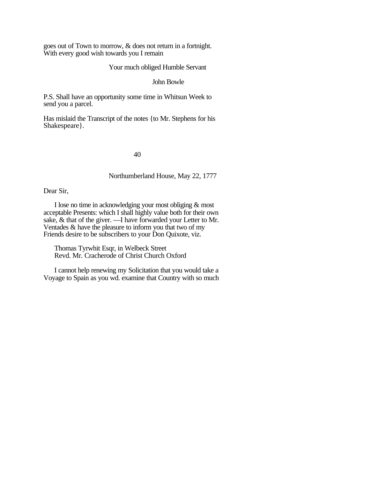goes out of Town to morrow, & does not return in a fortnight. With every good wish towards you I remain

# Your much obliged Humble Servant

## John Bowle

P.S. Shall have an opportunity some time in Whitsun Week to send you a parcel.

Has mislaid the Transcript of the notes {to Mr. Stephens for his Shakespeare}.

40

Northumberland House, May 22, 1777

Dear Sir,

I lose no time in acknowledging your most obliging & most acceptable Presents: which I shall highly value both for their own sake, & that of the giver. —I have forwarded your Letter to Mr. Ventades & have the pleasure to inform you that two of my Friends desire to be subscribers to your Don Quixote, viz.

Thomas Tyrwhit Esqr, in Welbeck Street Revd. Mr. Cracherode of Christ Church Oxford

I cannot help renewing my Solicitation that you would take a Voyage to Spain as you wd. examine that Country with so much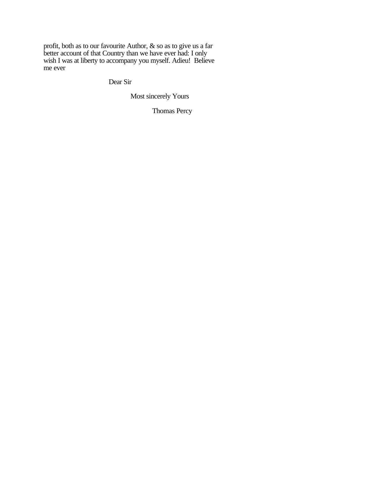profit, both as to our favourite Author, & so as to give us a far better account of that Country than we have ever had: I only wish I was at liberty to accompany you myself. Adieu! Believe me ever

Dear Sir

Most sincerely Yours

Thomas Percy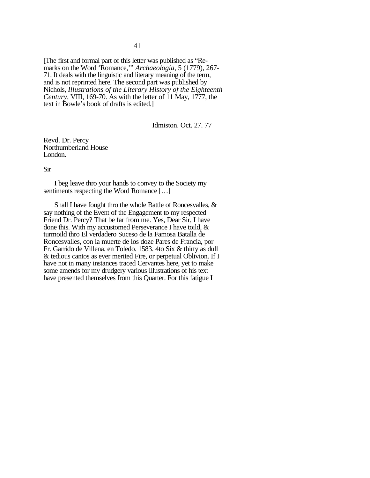[The first and formal part of this letter was published as "Remarks on the Word 'Romance,'" *Archaeologia*, 5 (1779), 267- 71. It deals with the linguistic and literary meaning of the term, and is not reprinted here. The second part was published by Nichols, *Illustrations of the Literary History of the Eighteenth Century*, VIII, 169-70. As with the letter of 11 May, 1777, the text in Bowle's book of drafts is edited.]

Idmiston. Oct. 27. 77

Revd. Dr. Percy Northumberland House London.

Sir

I beg leave thro your hands to convey to the Society my sentiments respecting the Word Romance […]

Shall I have fought thro the whole Battle of Roncesvalles, & say nothing of the Event of the Engagement to my respected Friend Dr. Percy? That be far from me. Yes, Dear Sir, I have done this. With my accustomed Perseverance I have toild, & turmoild thro El verdadero Suceso de la Famosa Batalla de Roncesvalles, con la muerte de los doze Pares de Francia, por Fr. Garrido de Villena. en Toledo. 1583. 4to Six & thirty as dull & tedious cantos as ever merited Fire, or perpetual Oblivion. If I have not in many instances traced Cervantes here, yet to make some amends for my drudgery various Illustrations of his text have presented themselves from this Quarter. For this fatigue I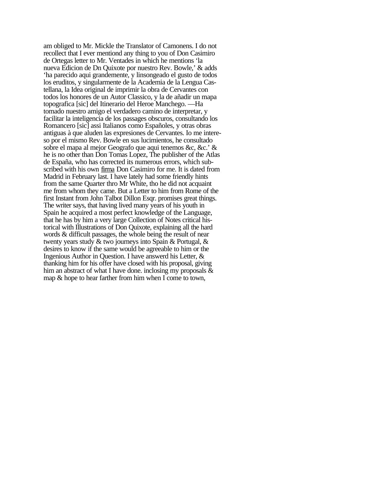am obliged to Mr. Mickle the Translator of Camonens. I do not recollect that I ever mentiond any thing to you of Don Casimiro de Ortegas letter to Mr. Ventades in which he mentions 'la nueva Edicion de Dn Quixote por nuestro Rev. Bowle,' & adds 'ha parecido aqui grandemente, y linsongeado el gusto de todos los eruditos, y singularmente de la Academia de la Lengua Castellana, la Idea original de imprimir la obra de Cervantes con todos los honores de un Autor Classico, y la de añadir un mapa topografica [sic] del Itinerario del Heroe Manchego. —Ha tomado nuestro amigo el verdadero camino de interpretar, y facilitar la inteligencia de los passages obscuros, consultando los Romancero [sic] assi Italianos como Españoles, y otras obras antiguas à que aluden las expresiones de Cervantes. Io me intereso por el mismo Rev. Bowle en sus lucimientos, he consultado sobre el mapa al mejor Geografo que aqui tenemos &c, &c.' & he is no other than Don Tomas Lopez, The publisher of the Atlas de España, who has corrected its numerous errors, which subscribed with his own firma Don Casimiro for me. It is dated from Madrid in February last. I have lately had some friendly hints from the same Quarter thro Mr White, tho he did not acquaint me from whom they came. But a Letter to him from Rome of the first Instant from John Talbot Dillon Esqr. promises great things. The writer says, that having lived many years of his youth in Spain he acquired a most perfect knowledge of the Language, that he has by him a very large Collection of Notes critical historical with Illustrations of Don Quixote, explaining all the hard words & difficult passages, the whole being the result of near twenty years study & two journeys into Spain & Portugal, & desires to know if the same would be agreeable to him or the Ingenious Author in Question. I have answerd his Letter, & thanking him for his offer have closed with his proposal, giving him an abstract of what I have done. inclosing my proposals  $\&$ map & hope to hear farther from him when I come to town,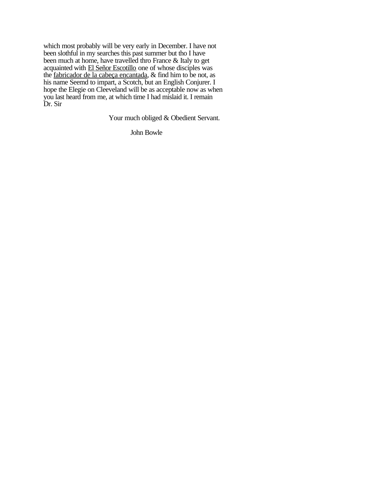which most probably will be very early in December. I have not been slothful in my searches this past summer but tho I have been much at home, have travelled thro France & Italy to get acquainted with El Señor Escotillo one of whose disciples was the fabricador de la cabeça encantada, & find him to be not, as his name Seemd to impart, a Scotch, but an English Conjurer. I hope the Elegie on Cleeveland will be as acceptable now as when you last heard from me, at which time I had mislaid it. I remain Dr. Sir

Your much obliged & Obedient Servant.

John Bowle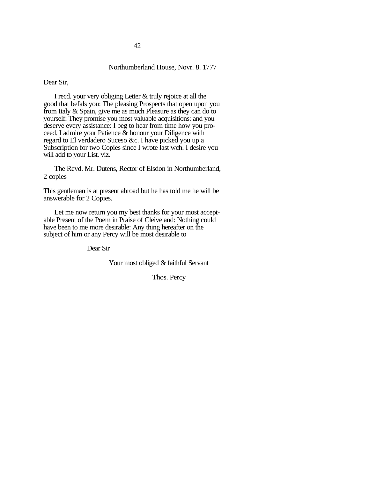### Northumberland House, Novr. 8. 1777

Dear Sir,

I recd. your very obliging Letter & truly rejoice at all the good that befals you: The pleasing Prospects that open upon you from Italy & Spain, give me as much Pleasure as they can do to yourself: They promise you most valuable acquisitions: and you deserve every assistance: I beg to hear from time how you proceed. I admire your Patience & honour your Diligence with regard to El verdadero Suceso &c. I have picked you up a Subscription for two Copies since I wrote last wch. I desire you will add to your List. viz.

The Revd. Mr. Dutens, Rector of Elsdon in Northumberland, 2 copies

This gentleman is at present abroad but he has told me he will be answerable for 2 Copies.

Let me now return you my best thanks for your most acceptable Present of the Poem in Praise of Cleiveland: Nothing could have been to me more desirable: Any thing hereafter on the subject of him or any Percy will be most desirable to

Dear Sir

Your most obliged & faithful Servant

Thos. Percy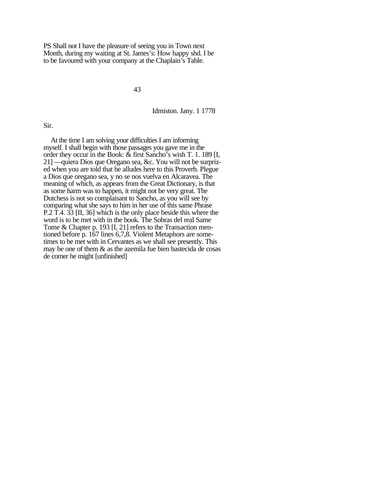PS Shall not I have the pleasure of seeing you in Town next Month, during my waiting at St. James's: How happy shd. I be to be favoured with your company at the Chaplain's Table.

43

Idmiston. Jany. 1 1778

Sir.

 At the time I am solving your difficulties I am informing myself. I shall begin with those passages you gave me in the order they occur in the Book: & first Sancho's wish T. 1. 189 [I, 21] —quiera Dios que Oregano sea, &c. You will not be surprized when you are told that he alludes here to this Proverb. Plegue a Dios que oregano sea, y no se nos vuelva en Alcaravea. The meaning of which, as appears from the Great Dictionary, is that as some harm was to happen, it might not be very great. The Dutchess is not so complaisant to Sancho, as you will see by comparing what she says to him in her use of this same Phrase P.2 T.4. 33 [II, 36] which is the only place beside this where the word is to be met with in the book. The Sobras del real Same Tome & Chapter p. 193 [I, 21] refers to the Transaction mentioned before p. 167 lines 6,7,8. Violent Metaphors are sometimes to be met with in Cervantes as we shall see presently. This may be one of them & as the azemila fue bien bastecida de cosas de comer he might [unfinished]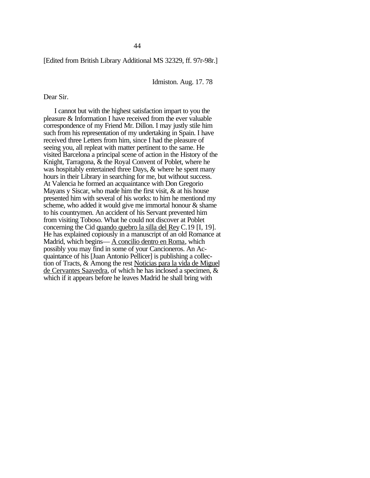[Edited from British Library Additional MS 32329, ff. 97r-98r.]

Idmiston. Aug. 17. 78

Dear Sir.

I cannot but with the highest satisfaction impart to you the pleasure & Information I have received from the ever valuable correspondence of my Friend Mr. Dillon. I may justly stile him such from his representation of my undertaking in Spain. I have received three Letters from him, since I had the pleasure of seeing you, all repleat with matter pertinent to the same. He visited Barcelona a principal scene of action in the History of the Knight, Tarragona, & the Royal Convent of Poblet, where he was hospitably entertained three Days, & where he spent many hours in their Library in searching for me, but without success. At Valencia he formed an acquaintance with Don Gregorio Mayans y Siscar, who made him the first visit, & at his house presented him with several of his works: to him he mentiond my scheme, who added it would give me immortal honour & shame to his countrymen. An accident of his Servant prevented him from visiting Toboso. What he could not discover at Poblet concerning the Cid quando quebro la silla del Rey C.19 [I, 19]. He has explained copiously in a manuscript of an old Romance at Madrid, which begins— A concilio dentro en Roma, which possibly you may find in some of your Cancioneros. An Acquaintance of his [Juan Antonio Pellicer] is publishing a collection of Tracts, & Among the rest Noticias para la vida de Miguel de Cervantes Saavedra, of which he has inclosed a specimen, & which if it appears before he leaves Madrid he shall bring with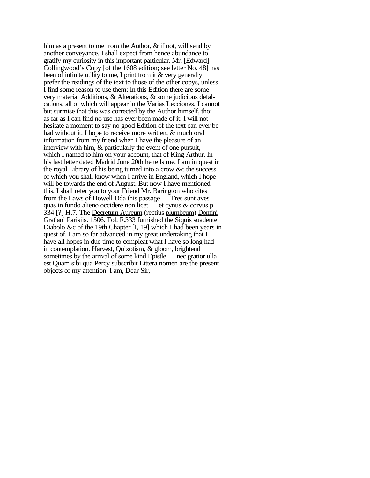him as a present to me from the Author,  $\&$  if not, will send by another conveyance. I shall expect from hence abundance to gratify my curiosity in this important particular. Mr. [Edward] Collingwood's Copy [of the 1608 edition; see letter No. 48] has been of infinite utility to me, I print from it & very generally prefer the readings of the text to those of the other copys, unless I find some reason to use them: In this Edition there are some very material Additions, & Alterations, & some judicious defalcations, all of which will appear in the Varias Lecciones. I cannot but surmise that this was corrected by the Author himself, tho' as far as I can find no use has ever been made of it: I will not hesitate a moment to say no good Edition of the text can ever be had without it. I hope to receive more written, & much oral information from my friend when I have the pleasure of an interview with him, & particularly the event of one pursuit, which I named to him on your account, that of King Arthur. In his last letter dated Madrid June 20th he tells me, I am in quest in the royal Library of his being turned into a crow &c the success of which you shall know when I arrive in England, which I hope will be towards the end of August. But now I have mentioned this, I shall refer you to your Friend Mr. Barington who cites from the Laws of Howell Dda this passage — Tres sunt aves quas in fundo alieno occidere non licet — et cynus & corvus p. 334 [?] H.7. The Decretum Aureum (rectius plumbeum) Domini Gratiani Parisiis. 1506. Fol. F.333 furnished the Siquis suadente Diabolo &c of the 19th Chapter [I, 19] which I had been years in quest of. I am so far advanced in my great undertaking that I have all hopes in due time to compleat what I have so long had in contemplation. Harvest, Quixotism, & gloom, brightend sometimes by the arrival of some kind Epistle — nec gratior ulla est Quam sibi qua Percy subscribit Littera nomen are the present objects of my attention. I am, Dear Sir,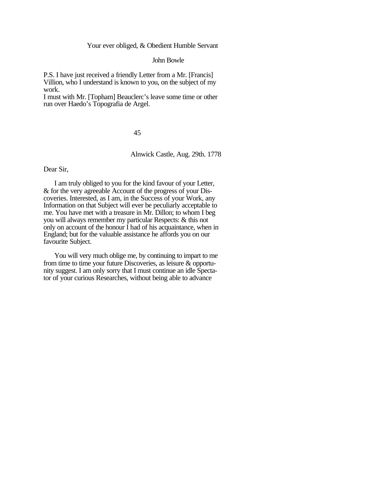### Your ever obliged, & Obedient Humble Servant

### John Bowle

P.S. I have just received a friendly Letter from a Mr. [Francis] Villion, who I understand is known to you, on the subject of my work.

I must with Mr. [Topham] Beauclerc's leave some time or other run over Haedo's Topografia de Argel.

## 45

# Alnwick Castle, Aug. 29th. 1778

## Dear Sir,

I am truly obliged to you for the kind favour of your Letter, & for the very agreeable Account of the progress of your Discoveries. Interested, as I am, in the Success of your Work, any Information on that Subject will ever be peculiarly acceptable to me. You have met with a treasure in Mr. Dillon; to whom I beg you will always remember my particular Respects: & this not only on account of the honour I had of his acquaintance, when in England; but for the valuable assistance he affords you on our favourite Subject.

You will very much oblige me, by continuing to impart to me from time to time your future Discoveries, as leisure & opportunity suggest. I am only sorry that I must continue an idle Spectator of your curious Researches, without being able to advance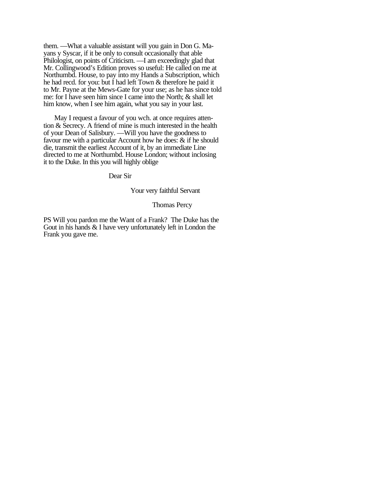them. —What a valuable assistant will you gain in Don G. Mayans y Syscar, if it be only to consult occasionally that able Philologist, on points of Criticism. —I am exceedingly glad that Mr. Collingwood's Edition proves so useful: He called on me at Northumbd. House, to pay into my Hands a Subscription, which he had recd. for you: but I had left Town & therefore he paid it to Mr. Payne at the Mews-Gate for your use; as he has since told me: for I have seen him since I came into the North; & shall let him know, when I see him again, what you say in your last.

May I request a favour of you wch. at once requires attention & Secrecy. A friend of mine is much interested in the health of your Dean of Salisbury. —Will you have the goodness to favour me with a particular Account how he does: & if he should die, transmit the earliest Account of it, by an immediate Line directed to me at Northumbd. House London; without inclosing it to the Duke. In this you will highly oblige

Dear Sir

Your very faithful Servant

### Thomas Percy

PS Will you pardon me the Want of a Frank? The Duke has the Gout in his hands & I have very unfortunately left in London the Frank you gave me.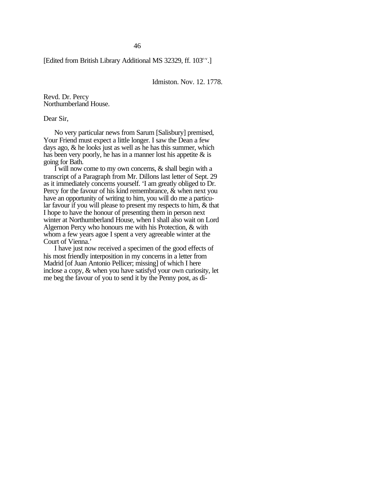[Edited from British Library Additional MS 32329, ff. 103r-v.]

Idmiston. Nov. 12. 1778.

Revd. Dr. Percy Northumberland House.

Dear Sir,

No very particular news from Sarum [Salisbury] premised, Your Friend must expect a little longer. I saw the Dean a few days ago, & he looks just as well as he has this summer, which has been very poorly, he has in a manner lost his appetite  $\&$  is going for Bath.

I will now come to my own concerns,  $\&$  shall begin with a transcript of a Paragraph from Mr. Dillons last letter of Sept. 29 as it immediately concerns yourself. 'I am greatly obliged to Dr. Percy for the favour of his kind remembrance, & when next you have an opportunity of writing to him, you will do me a particular favour if you will please to present my respects to him, & that I hope to have the honour of presenting them in person next winter at Northumberland House, when I shall also wait on Lord Algernon Percy who honours me with his Protection, & with whom a few years agoe I spent a very agreeable winter at the Court of Vienna.'

I have just now received a specimen of the good effects of his most friendly interposition in my concerns in a letter from Madrid [of Juan Antonio Pellicer; missing] of which I here inclose a copy, & when you have satisfyd your own curiosity, let me beg the favour of you to send it by the Penny post, as di-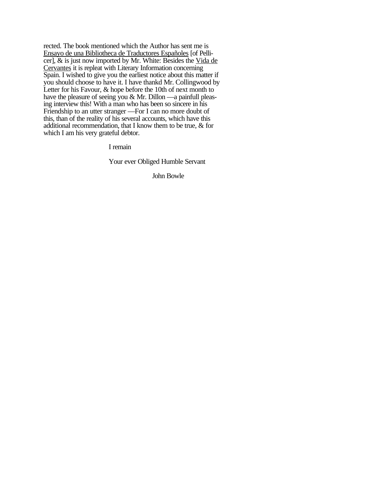rected. The book mentioned which the Author has sent me is Ensayo de una Bibliotheca de Traductores Españoles [of Pellicer], & is just now imported by Mr. White: Besides the Vida de Cervantes it is repleat with Literary Information concerning Spain. I wished to give you the earliest notice about this matter if you should choose to have it. I have thankd Mr. Collingwood by Letter for his Favour, & hope before the 10th of next month to have the pleasure of seeing you  $&$  Mr. Dillon —a painfull pleasing interview this! With a man who has been so sincere in his Friendship to an utter stranger —For I can no more doubt of this, than of the reality of his several accounts, which have this additional recommendation, that I know them to be true, & for which I am his very grateful debtor.

I remain

Your ever Obliged Humble Servant

John Bowle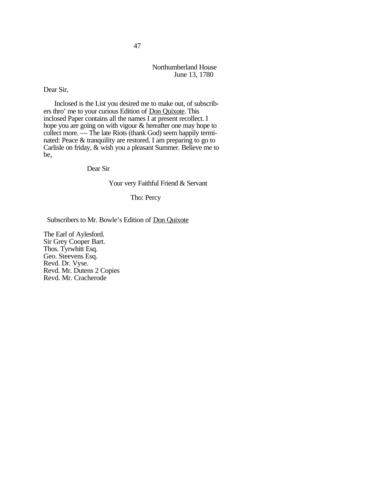### Northumberland House June 13, 1780

Dear Sir,

Inclosed is the List you desired me to make out, of subscribers thro' me to your curious Edition of Don Quixote. This inclosed Paper contains all the names I at present recollect. I hope you are going on with vigour & hereafter one may hope to collect more. — The late Riots (thank God) seem happily terminated: Peace & tranquility are restored. I am preparing to go to Carlisle on friday, & wish you a pleasant Summer. Believe me to be,

Dear Sir

Your very Faithful Friend & Servant

Tho: Percy

Subscribers to Mr. Bowle's Edition of Don Quixote

The Earl of Aylesford. Sir Grey Cooper Bart. Thos. Tyrwhitt Esq. Geo. Steevens Esq. Revd. Dr. Vyse. Revd. Mr. Dutens 2 Copies Revd. Mr. Cracherode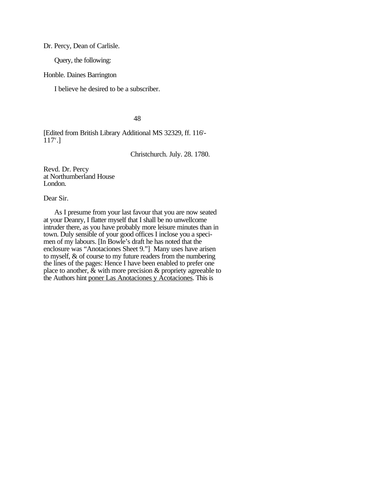Dr. Percy, Dean of Carlisle.

Query, the following:

Honble. Daines Barrington

I believe he desired to be a subscriber.

48

[Edited from British Library Additional MS 32329, ff. 116-117<sup>v</sup> .]

Christchurch. July. 28. 1780.

Revd. Dr. Percy at Northumberland House London.

Dear Sir.

As I presume from your last favour that you are now seated at your Deanry, I flatter myself that I shall be no unwellcome intruder there, as you have probably more leisure minutes than in town. Duly sensible of your good offices I inclose you a specimen of my labours. [In Bowle's draft he has noted that the enclosure was "Anotaciones Sheet 9."] Many uses have arisen to myself, & of course to my future readers from the numbering the lines of the pages: Hence I have been enabled to prefer one place to another,  $\&$  with more precision  $&$  propriety agreeable to the Authors hint poner Las Anotaciones y Acotaciones. This is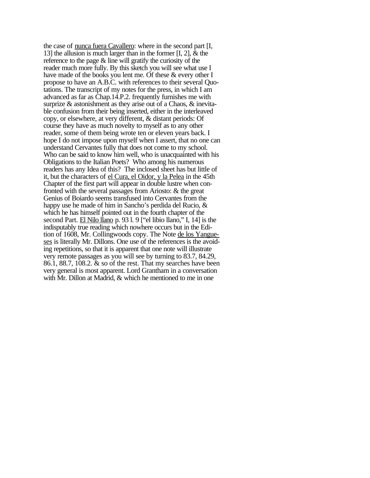the case of nunca fuera Cavallero: where in the second part [I, 13] the allusion is much larger than in the former [I, 2], & the reference to the page & line will gratify the curiosity of the reader much more fully. By this sketch you will see what use I have made of the books you lent me. Of these & every other I propose to have an A.B.C. with references to their several Quotations. The transcript of my notes for the press, in which I am advanced as far as Chap.14.P.2. frequently furnishes me with surprize & astonishment as they arise out of a Chaos,  $\&$  inevitable confusion from their being inserted, either in the interleaved copy, or elsewhere, at very different, & distant periods: Of course they have as much novelty to myself as to any other reader, some of them being wrote ten or eleven years back. I hope I do not impose upon myself when I assert, that no one can understand Cervantes fully that does not come to my school. Who can be said to know him well, who is unacquainted with his Obligations to the Italian Poets? Who among his numerous readers has any Idea of this? The inclosed sheet has but little of it, but the characters of el Cura, el Oidor, y la Pelea in the 45th Chapter of the first part will appear in double lustre when confronted with the several passages from Ariosto: & the great Genius of Boiardo seems transfused into Cervantes from the happy use he made of him in Sancho's perdida del Rucio, & which he has himself pointed out in the fourth chapter of the second Part. El Nilo llano p. 93 l. 9 ["el libio llano," I, 14] is the indisputably true reading which nowhere occurs but in the Edition of 1608, Mr. Collingwoods copy. The Note de los Yangueses is literally Mr. Dillons. One use of the references is the avoiding repetitions, so that it is apparent that one note will illustrate very remote passages as you will see by turning to 83.7, 84.29, 86.1, 88.7, 108.2. & so of the rest. That my searches have been very general is most apparent. Lord Grantham in a conversation with Mr. Dillon at Madrid, & which he mentioned to me in one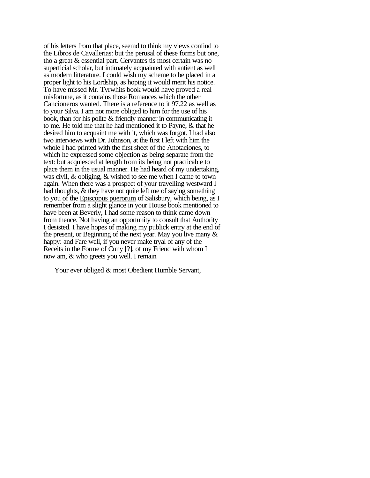of his letters from that place, seemd to think my views confind to the Libros de Cavallerias: but the perusal of these forms but one, tho a great & essential part. Cervantes tis most certain was no superficial scholar, but intimately acquainted with antient as well as modern litterature. I could wish my scheme to be placed in a proper light to his Lordship, as hoping it would merit his notice. To have missed Mr. Tyrwhits book would have proved a real misfortune, as it contains those Romances which the other Cancioneros wanted. There is a reference to it 97.22 as well as to your Silva. I am not more obliged to him for the use of his book, than for his polite & friendly manner in communicating it to me. He told me that he had mentioned it to Payne, & that he desired him to acquaint me with it, which was forgot. I had also two interviews with Dr. Johnson, at the first I left with him the whole I had printed with the first sheet of the Anotaciones, to which he expressed some objection as being separate from the text: but acquiesced at length from its being not practicable to place them in the usual manner. He had heard of my undertaking, was civil, & obliging, & wished to see me when I came to town again. When there was a prospect of your travelling westward I had thoughts, & they have not quite left me of saying something to you of the Episcopus puerorum of Salisbury, which being, as I remember from a slight glance in your House book mentioned to have been at Beverly, I had some reason to think came down from thence. Not having an opportunity to consult that Authority I desisted. I have hopes of making my publick entry at the end of the present, or Beginning of the next year. May you live many & happy: and Fare well, if you never make tryal of any of the Receits in the Forme of Cuny [?], of my Friend with whom I now am, & who greets you well. I remain

Your ever obliged  $&$  most Obedient Humble Servant,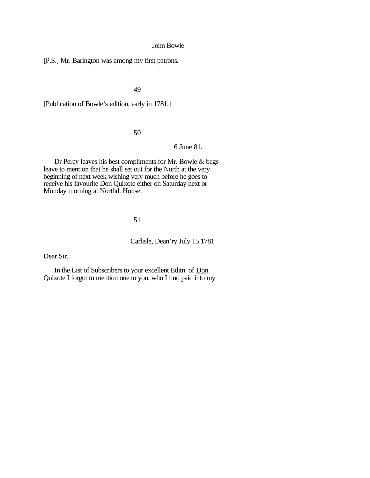### John Bowle

[P.S.] Mr. Barington was among my first patrons.

49

[Publication of Bowle's edition, early in 1781.]

50

6 June 81.

Dr Percy leaves his best compliments for Mr. Bowle & begs leave to mention that he shall set out for the North at the very beginning of next week wishing very much before he goes to receive his favourite Don Quixote either on Saturday next or Monday morning at Northd. House.

51

Carlisle, Dean'ry July 15 1781

Dear Sir,

In the List of Subscribers to your excellent Editn. of Don Quixote I forgot to mention one to you, who I find paid into my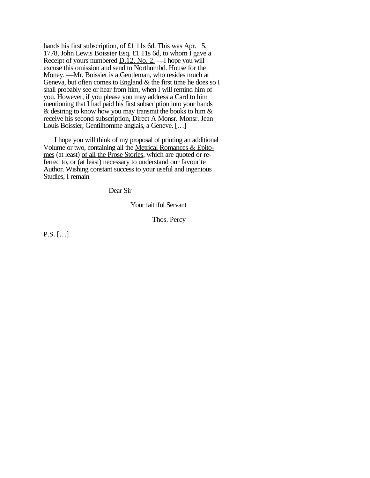hands his first subscription, of £1 11s 6d. This was Apr. 15, 1778, John Lewis Boissier Esq. £1 11s 6d, to whom I gave a Receipt of yours numbered  $\underline{D.12}$ . No. 2. —I hope you will excuse this omission and send to Northumbd. House for the Money. —Mr. Boissier is a Gentleman, who resides much at Geneva, but often comes to England & the first time he does so I shall probably see or hear from him, when I will remind him of you. However, if you please you may address a Card to him mentioning that I had paid his first subscription into your hands & desiring to know how you may transmit the books to him & receive his second subscription, Direct A Monsr. Monsr. Jean Louis Boissier, Gentilhomme anglais, a Geneve. […]

I hope you will think of my proposal of printing an additional Volume or two, containing all the Metrical Romances & Epitomes (at least) of all the Prose Stories, which are quoted or referred to, or (at least) necessary to understand our favourite Author. Wishing constant success to your useful and ingenious Studies, I remain

Dear Sir

Your faithful Servant

Thos. Percy

P.S. […]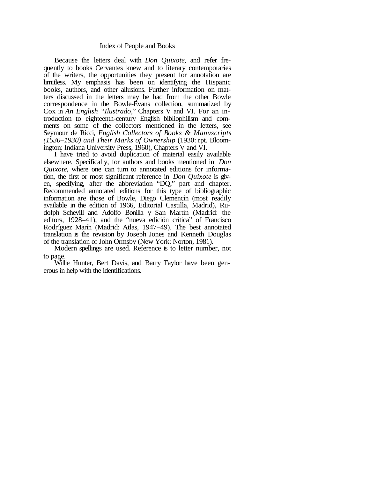### Index of People and Books

Because the letters deal with *Don Quixote*, and refer frequently to books Cervantes knew and to literary contemporaries of the writers, the opportunities they present for annotation are limitless. My emphasis has been on identifying the Hispanic books, authors, and other allusions. Further information on matters discussed in the letters may be had from the other Bowle correspondence in the Bowle-Evans collection, summarized by Cox in *An English "Ilustrado*," Chapters V and VI. For an introduction to eighteenth-century English bibliophilism and comments on some of the collectors mentioned in the letters, see Seymour de Ricci, *English Collectors of Books & Manuscripts (1530–1930) and Their Marks of Ownership* (1930: rpt. Bloomington: Indiana University Press, 1960), Chapters V and VI.

I have tried to avoid duplication of material easily available elsewhere. Specifically, for authors and books mentioned in *Don Quixote*, where one can turn to annotated editions for information, the first or most significant reference in *Don Quixote* is given, specifying, after the abbreviation "DQ," part and chapter. Recommended annotated editions for this type of bibliographic information are those of Bowle, Diego Clemencín (most readily available in the edition of 1966, Editorial Castilla, Madrid), Rudolph Schevill and Adolfo Bonilla y San Martín (Madrid: the editors, 1928–41), and the "nueva edición crítica" of Francisco Rodríguez Marín (Madrid: Atlas, 1947–49). The best annotated translation is the revision by Joseph Jones and Kenneth Douglas of the translation of John Ormsby (New York: Norton, 1981).

Modern spellings are used. Reference is to letter number, not to page.

Willie Hunter, Bert Davis, and Barry Taylor have been generous in help with the identifications.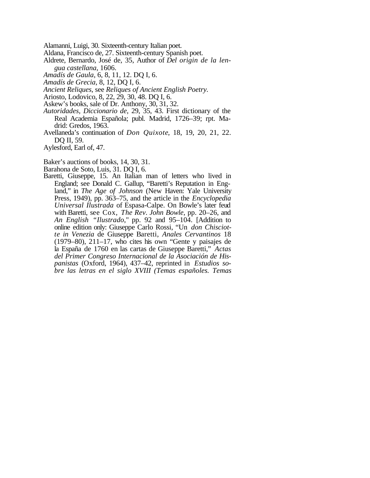Alamanni, Luigi, 30. Sixteenth-century Italian poet.

Aldana, Francisco de, 27. Sixteenth-century Spanish poet.

- Aldrete, Bernardo, José de, 35, Author of *Del origin de la lengua castellana*, 1606.
- *Amadís de Gaula*, 6, 8, 11, 12. DQ I, 6.
- *Amadís de Grecia*, 8, 12, DQ I, 6.
- *Ancient Reliques*, see *Reliques of Ancient English Poetry.*
- Ariosto, Lodovico, 8, 22, 29, 30, 48. DQ I, 6.
- Askew's books, sale of Dr. Anthony, 30, 31, 32.
- *Autoridades, Diccionario de*, 29, 35, 43. First dictionary of the Real Academia Española; publ. Madrid, 1726–39; rpt. Madrid: Gredos, 1963.
- Avellaneda's continuation of *Don Quixote*, 18, 19, 20, 21, 22. DQ II, 59.

Aylesford, Earl of, 47.

Baker's auctions of books, 14, 30, 31.

- Barahona de Soto, Luis, 31. DQ I, 6.
- Baretti, Giuseppe, 15. An Italian man of letters who lived in England; see Donald C. Gallup, "Baretti's Reputation in England," in *The Age of Johnson* (New Haven: Yale University Press, 1949), pp. 363–75, and the article in the *Encyclopedia Universal Ilustrada* of Espasa-Calpe. On Bowle's later feud with Baretti, see Cox, *The Rev. John Bowle*, pp. 20–26, and *An English "Ilustrado*," pp. 92 and 95–104. [Addition to online edition only: Giuseppe Carlo Rossi, "Un *don Chisciotte in Venezia* de Giuseppe Baretti, *Anales Cervantinos* 18 (1979–80), 211–17, who cites his own "Gente y paisajes de la España de 1760 en las cartas de Giuseppe Baretti," *Actas del Primer Congreso Internacional de la Asociación de Hispanistas* (Oxford, 1964), 437–42, reprinted in *Estudios sobre las letras en el siglo XVIII (Temas españoles. Temas*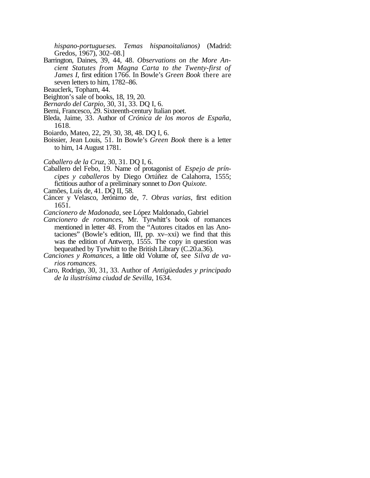*hispano-portugueses. Temas hispanoitalianos)* (Madrid: Gredos, 1967), 302–08.]

- Barrington, Daines, 39, 44, 48. *Observations on the More Ancient Statutes from Magna Carta to the Twenty-first of James I*, first edition 1766. In Bowle's *Green Book* there are seven letters to him, 1782–86.
- Beauclerk, Topham, 44.
- Beighton's sale of books, 18, 19, 20.
- *Bernardo del Carpio,* 30, 31, 33. DQ I, 6.
- Berni, Francesco, 29. Sixteenth-century Italian poet.
- Bleda, Jaime, 33. Author of *Crónica de los moros de España*, 1618.
- Boiardo, Mateo, 22, 29, 30, 38, 48. DQ I, 6.
- Boissier, Jean Louis, 51. In Bowle's *Green Book* there is a letter to him, 14 August 1781.

*Caballero de la Cruz*, 30, 31. DQ I, 6.

- Caballero del Febo, 19. Name of protagonist of *Espejo de príncipes y caballeros* by Diego Ortúñez de Calahorra, 1555; fictitious author of a preliminary sonnet to *Don Quixote.*
- Camões, Luís de, 41. DQ II, 58.
- Cáncer y Velasco, Jerónimo de, 7. *Obras varias*, first edition 1651.
- *Cancionero de Madonada*, see López Maldonado, Gabriel
- *Cancionero de romances*, Mr. Tyrwhitt's book of romances mentioned in letter 48. From the "Autores citados en las Anotaciones" (Bowle's edition, III, pp. xv–xxi) we find that this was the edition of Antwerp, 1555. The copy in question was bequeathed by Tyrwhitt to the British Library (C.20.a.36).
- *Canciones y Romances*, a little old Volume of, see *Silva de varios romances.*
- Caro, Rodrigo, 30, 31, 33. Author of *Antigüedades y principado de la ilustrísima ciudad de Sevilla*, 1634.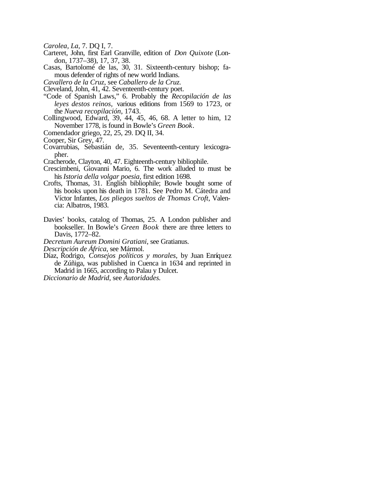*Carolea, La*, 7. DQ I, 7.

- Carteret, John, first Earl Granville, edition of *Don Quixote* (London, 1737–38), 17, 37, 38.
- Casas, Bartolomé de las, 30, 31. Sixteenth-century bishop; famous defender of rights of new world Indians.
- *Cavallero de la Cruz*, see *Caballero de la Cruz.*
- Cleveland, John, 41, 42. Seventeenth-century poet.
- "Code of Spanish Laws," 6. Probably the *Recopilación de las leyes destos reinos,* various editions from 1569 to 1723, or the *Nueva recopilación*, 1743.
- Collingwood, Edward, 39, 44, 45, 46, 68. A letter to him, 12 November 1778, is found in Bowle's *Green Book*.
- Comendador griego, 22, 25, 29. DQ II, 34.
- Cooper, Sir Grey, 47.
- Covarrubias, Sebastián de, 35. Seventeenth-century lexicographer.
- Cracherode, Clayton, 40, 47. Eighteenth-century bibliophile.
- Crescimbeni, Giovanni Mario, 6. The work alluded to must be his *Istoria della volgar poesia,* first edition 1698.
- Crofts, Thomas, 31. English bibliophile; Bowle bought some of his books upon his death in 1781. See Pedro M. Cátedra and Víctor Infantes, *Los pliegos sueltos de Thomas Croft*, Valencia: Albatros, 1983.
- Davies' books, catalog of Thomas, 25. A London publisher and bookseller. In Bowle's *Green Book* there are three letters to Davis, 1772–82.
- *Decretum Aureum Domini Gratiani*, see Gratianus.
- *Descripción de África*, see Mármol.
- Díaz, Rodrigo, *Consejos políticos y morales*, by Juan Enríquez de Zúñiga, was published in Cuenca in 1634 and reprinted in Madrid in 1665, according to Palau y Dulcet.
- *Diccionario de Madrid*, see *Autoridades.*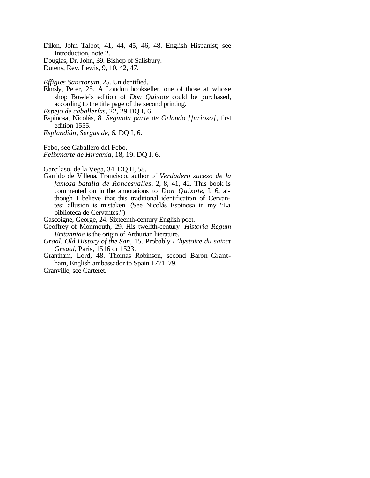- Dillon, John Talbot, 41, 44, 45, 46, 48. English Hispanist; see Introduction, note 2.
- Douglas, Dr. John, 39. Bishop of Salisbury.

Dutens, Rev. Lewis, 9, 10, 42, 47.

*Effigies Sanctorum*, 25. Unidentified.

Elmsly, Peter, 25. A London bookseller, one of those at whose shop Bowle's edition of *Don Quixote* could be purchased, according to the title page of the second printing.

*Espejo de caballerías*, 22, 29 DQ I, 6.

- Espinosa, Nicolás, 8*. Segunda parte de Orlando [furioso]*, first edition 1555.
- *Esplandián, Sergas de,* 6. DQ I, 6.

Febo, see Caballero del Febo. *Felixmarte de Hircania*, 18, 19. DQ I, 6.

Garcilaso, de la Vega, 34. DQ II, 58.

Garrido de Villena, Francisco, author of *Verdadero suceso de la famosa batalla de Roncesvalles*, 2, 8, 41, 42. This book is commented on in the annotations to *Don Quixote*, I, 6, although I believe that this traditional identification of Cervantes' allusion is mistaken. (See Nicolás Espinosa in my "La biblioteca de Cervantes.")

Gascoigne, George, 24. Sixteenth-century English poet.

- Geoffrey of Monmouth, 29. His twelfth-century *Historia Regum Britanniae* is the origin of Arthurian literature.
- *Graal, Old History of the San*, 15. Probably *L'hystoire du sainct Greaal*, Paris, 1516 or 1523.
- Grantham, Lord, 48. Thomas Robinson, second Baron Grantham, English ambassador to Spain 1771–79.

Granville, see Carteret.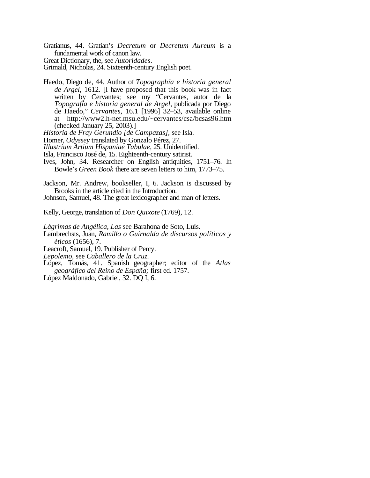Gratianus, 44. Gratian's *Decretum* or *Decretum Aureum* is a fundamental work of canon law.

Great Dictionary, the, see *Autoridades*.

Grimald, Nicholas, 24. Sixteenth-century English poet.

Haedo, Diego de, 44. Author of *Topographía e historia general de Argel*, 1612. [I have proposed that this book was in fact written by Cervantes; see my "Cervantes, autor de la *Topografía e historia general de Argel*, publicada por Diego de Haedo," *Cervantes*, 16.1 [1996] 32–53, available online at http://www2.h-net.msu.edu/~cervantes/csa/bcsas96.htm (checked January 25, 2003).]

*Historia de Fray Gerundio [de Campazas],* see Isla.

Homer, *Odyssey* translated by Gonzalo Pérez, 27.

*Illustrium Artium Hispaniae Tabulae*, 25. Unidentified.

Isla, Francisco José de, 15. Eighteenth-century satirist.

Ives, John, 34. Researcher on English antiquities, 1751–76. In Bowle's *Green Book* there are seven letters to him, 1773–75.

Jackson, Mr. Andrew, bookseller, I, 6. Jackson is discussed by Brooks in the article cited in the Introduction.

Johnson, Samuel, 48. The great lexicographer and man of letters.

Kelly, George, translation of *Don Quixote* (1769), 12.

*Lágrimas de Angélica, Las* see Barahona de Soto, Luis.

- Lambrechsts, Juan, *Ramillo o Guirnalda de discursos políticos y éticos* (1656), 7.
- Leacroft, Samuel, 19. Publisher of Percy.
- *Lepolemo*, see *Caballero de la Cruz.*
- López, Tomás, 41. Spanish geographer; editor of the *Atlas geográfico del Reino de España;* first ed. 1757.
- López Maldonado, Gabriel, 32. DQ I, 6.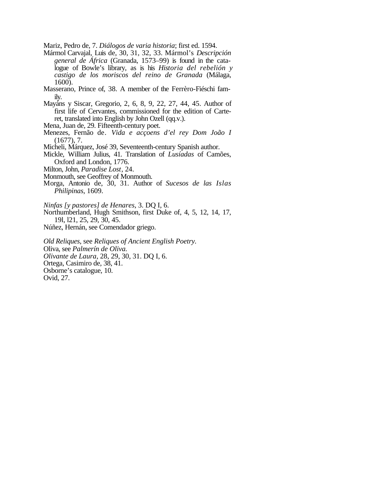Mariz, Pedro de, 7. *Diálogos de varia historia*; first ed. 1594.

- Mármol Carvajal, Luis de, 30, 31, 32, 33. Mármol's *Descripción general de África* (Granada, 1573–99) is found in the catalogue of Bowle's library, as is his *Historia del rebelión y castigo de los moriscos del reino de Granada* (Málaga, 1600).
- Masserano, Prince of, 38. A member of the Ferrèro-Fiéschi family.
- Mayáns y Siscar, Gregorio, 2, 6, 8, 9, 22, 27, 44, 45. Author of first life of Cervantes, commissioned for the edition of Carteret, translated into English by John Ozell (qq.v.).
- Mena, Juan de, 29. Fifteenth-century poet.
- Menezes, Fernão de. *Vida e acçoens d'el rey Dom João I* (1677), 7.
- Micheli, Márquez, José 39, Seventeenth-century Spanish author.
- Mickle, William Julius, 41. Translation of *Lusíadas* of Camões, Oxford and London, 1776.
- Milton, John, *Paradise Lost*, 24.
- Monmouth, see Geoffrey of Monmouth.
- Morga, Antonio de, 30, 31. Author of *Sucesos de las Islas Philipinas*, 1609.

*Ninfas [y pastores] de Henares*, 3. DQ I, 6.

- Northumberland, Hugh Smithson, first Duke of, 4, 5, 12, 14, 17, 19l, l21, 25, 29, 30, 45.
- Núñez, Hernán, see Comendador griego.

*Old Reliques*, see *Reliques of Ancient English Poetry.* Oliva, see *Palmerín de Oliva. Olivante de Laura*, 28, 29, 30, 31. DQ I, 6. Ortega, Casimiro de, 38, 41. Osborne's catalogue, 10. Ovid, 27.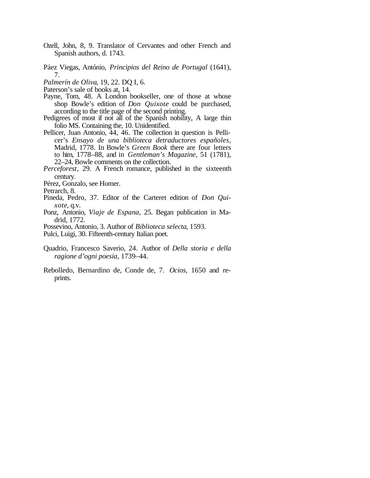- Ozell, John, 8, 9. Translator of Cervantes and other French and Spanish authors, d. 1743.
- Páez Viegas, António, *Principios del Reino de Portugal* (1641), 7.

*Palmerín de Oliva*, 19, 22. DQ I, 6.

Paterson's sale of books at, 14.

- Payne, Tom, 48. A London bookseller, one of those at whose shop Bowle's edition of *Don Quixote* could be purchased, according to the title page of the second printing.
- Pedigrees of most if not all of the Spanish nobility, A large thin folio MS. Containing the, 10. Unidentified.
- Pellicer, Juan Antonio, 44, 46. The collection in question is Pellicer's *Ensayo de una biblioteca detraductores españoles*, Madrid, 1778. In Bowle's *Green Book* there are four letters to him, 1778–88, and in *Gentleman's Magazine*, 51 (1781), 22–24, Bowle comments on the collection.
- *Perceforest*, 29. A French romance, published in the sixteenth century.
- Pérez, Gonzalo, see Homer.

Petrarch, 8.

- Pineda, Pedro, 37. Editor of the Carteret edition of *Don Quixote*, q.v.
- Ponz, Antonio, *Viaje de Espana*, 25. Began publication in Madrid, 1772.
- Possevino, Antonio, 3. Author of *Biblioteca selecta*, 1593.

Pulci, Luigi, 30. Fifteenth-century Italian poet.

- Quadrio, Francesco Saverio, 24. Author of *Della storia e della ragione d'ogni poesia*, 1739–44.
- Rebolledo, Bernardino de, Conde de, 7. *Ocios*, 1650 and reprints.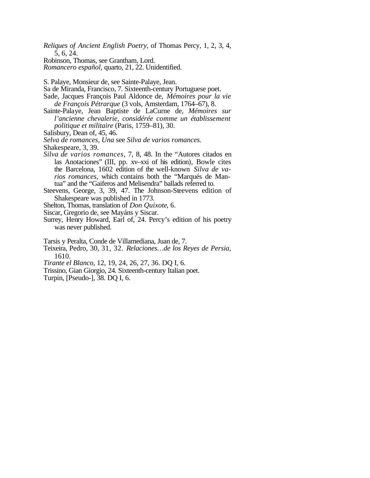- *Reliques of Ancient English Poetry*, of Thomas Percy, 1, 2, 3, 4, 5, 6, 24.
- Robinson, Thomas, see Grantham, Lord.

*Romancero español,* quarto, 21, 22. Unidentified.

S. Palaye, Monsieur de, see Sainte-Palaye, Jean.

- Sa de Miranda, Francisco, 7. Sixteenth-century Portuguese poet.
- Sade, Jacques François Paul Aldonce de, *Mémoires pour la vie de François Pétrarque* (3 vols, Amsterdam, 1764–67), 8.
- Sainte-Palaye, Jean Baptiste de LaCurne de, *Mémoires sur l'ancienne chevalerie, considérée comme un établissement politique et militaire* (Paris, 1759–81), 30.
- Salisbury, Dean of, 45, 46.

*Selva de romances, Una* see *Silva de varios romances.*

- Shakespeare, 3, 39.
- *Silva de varios romances*, 7, 8, 48. In the "Autores citados en las Anotaciones" (III, pp. xv–xxi of his edition), Bowle cites the Barcelona, 1602 edition of the well-known *Silva de varios romances*, which contains both the "Marqués de Mantua" and the "Gaiferos and Melisendra" ballads referred to.
- Steevens, George, 3, 39, 47. The Johnson-Steevens edition of Shakespeare was published in 1773.
- Shelton, Thomas, translation of *Don Quixote*, 6.
- Siscar, Gregorio de, see Mayáns y Siscar.
- Surrey, Henry Howard, Earl of, 24. Percy's edition of his poetry was never published.
- Tarsis y Peralta, Conde de Villamediana, Juan de, 7.
- Teixeira, Pedro, 30, 31, 32. *Relaciones…de los Reyes de Persia,* 1610.
- *Tirante el Blanco,* 12, 19, 24, 26, 27, 36. DQ I, 6.
- Trissino, Gian Giorgio, 24. Sixteenth-century Italian poet.
- Turpin, [Pseudo-], 38. DQ I, 6.